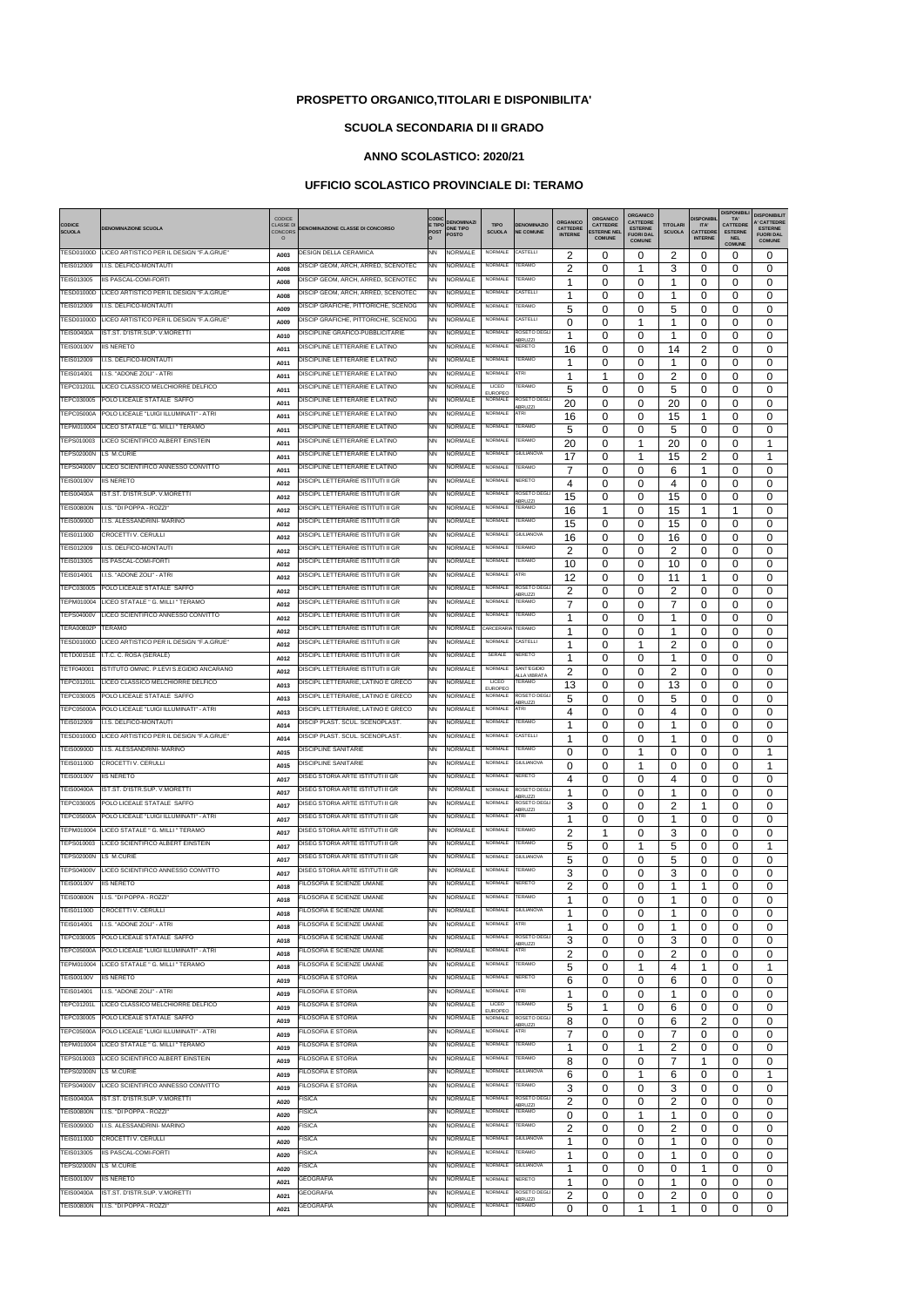|                                        |                                                                     | CODICE                             |                                                                        | <b>CODI</b>            | <b>DENOMINAZI</b>                |                                |                                                | ORGANICO                          | ORGANICO                             | ORGANICO<br><b>CATTEDRE</b>        |                                  | <b>DISPONIBI</b>        | <b>DISPONIBILI</b><br>TA'         | <b>DISPONIBILIT</b><br><b>'CATTEDRE</b> |
|----------------------------------------|---------------------------------------------------------------------|------------------------------------|------------------------------------------------------------------------|------------------------|----------------------------------|--------------------------------|------------------------------------------------|-----------------------------------|--------------------------------------|------------------------------------|----------------------------------|-------------------------|-----------------------------------|-----------------------------------------|
| <b>CODICE</b><br><b>SCUOLA</b>         | <b>DENOMINAZIONE SCUOLA</b>                                         | <b>CLASSE DI</b><br><b>CONCORS</b> | <b>DENOMINAZIONE CLASSE DI CONCORSO</b>                                | E TIPO<br><b>POST</b>  | <b>ONE TIPO</b><br><b>POSTO</b>  | <b>TIPO</b><br><b>SCUOLA</b>   | <b>DENOMINAZIO</b><br><b>NE COMUNE</b>         | <b>CATTEDRE</b><br><b>INTERNE</b> | <b>CATTEDRE</b><br><b>STERNE NEL</b> | <b>ESTERNE</b><br><b>FUORI DAL</b> | <b>TITOLARI</b><br><b>SCUOLA</b> | ITA'<br><b>CATTEDRE</b> | <b>CATTEDRE</b><br><b>ESTERNE</b> | <b>ESTERNE</b><br><b>FUORI DAL</b>      |
|                                        | TESD01000D LICEO ARTISTICO PER IL DESIGN "F.A.GRUE"                 | $\circ$                            | DESIGN DELLA CERAMICA                                                  | <b>NN</b>              | NORMALE                          | NORMALE                        | CASTELLI                                       |                                   | <b>COMUNE</b>                        | <b>COMUNE</b>                      |                                  | <b>INTERNE</b>          | <b>NEL</b><br><b>COMUNE</b>       | <b>COMUNE</b>                           |
| TEIS012009                             | I.I.S. DELFICO-MONTAUTI                                             | A003                               | DISCIP GEOM, ARCH, ARRED, SCENOTEC                                     | <b>NN</b>              | <b>NORMALE</b>                   | <b>NORMALE</b>                 | <b>TERAMO</b>                                  | 2                                 | 0                                    | 0                                  | 2                                | 0                       | 0                                 | 0                                       |
| TEIS013005                             | IIS PASCAL-COMI-FORTI                                               | A008<br>A008                       | DISCIP GEOM, ARCH, ARRED, SCENOTEC                                     | <b>NN</b>              | <b>NORMALE</b>                   | NORMALE                        | <b>TERAMO</b>                                  | $\overline{2}$<br>1               | 0<br>0                               | 1<br>0                             | 3<br>1                           | 0<br>0                  | 0<br>0                            | 0<br>0                                  |
| TESD01000D                             | LICEO ARTISTICO PER IL DESIGN "F.A.GRUE"                            | A008                               | DISCIP GEOM, ARCH, ARRED, SCENOTEC                                     | <b>NN</b>              | <b>NORMALE</b>                   | <b>NORMALE</b>                 | CASTELLI                                       | 1                                 | 0                                    | 0                                  | 1                                | 0                       | 0                                 | 0                                       |
| TEIS012009                             | I.I.S. DELFICO-MONTAUTI                                             | A009                               | DISCIP GRAFICHE, PITTORICHE, SCENOG                                    | <b>NN</b>              | <b>NORMALE</b>                   | <b>NORMALE</b>                 | <b>TERAMO</b>                                  | 5                                 | 0                                    | 0                                  | 5                                | 0                       | 0                                 | 0                                       |
| TESD01000D                             | LICEO ARTISTICO PER IL DESIGN "F.A.GRUE"                            | A009                               | DISCIP GRAFICHE, PITTORICHE, SCENOG                                    | <b>NN</b>              | <b>NORMALE</b>                   | NORMALE                        | CASTELLI                                       | 0                                 | 0                                    | 1                                  | 1                                | 0                       | 0                                 | 0                                       |
| <b>TEIS00400A</b>                      | IST.ST. D'ISTR.SUP. V.MORETTI                                       | A010                               | DISCIPLINE GRAFICO-PUBBLICITARIE                                       | <b>NN</b>              | <b>NORMALE</b>                   | <b>NORMALE</b>                 | ROSETO DEGLI<br><b>IBRUZZI</b>                 | 1                                 | 0                                    | 0                                  | 1                                | 0                       | 0                                 | 0                                       |
| <b>TEIS00100V</b>                      | <b>IIS NERETO</b>                                                   | A011                               | DISCIPLINE LETTERARIE E LATINO                                         | <b>NN</b>              | <b>NORMALE</b>                   | <b>NORMALE</b>                 | <b>NERETO</b>                                  | 16                                | 0                                    | 0                                  | 14                               | 2                       | 0                                 | 0                                       |
| TEIS012009                             | I.I.S. DELFICO-MONTAUTI                                             | A011                               | DISCIPLINE LETTERARIE E LATINO                                         | <b>NN</b>              | <b>NORMALE</b>                   | NORMALE                        | <b>TERAMO</b>                                  | 1                                 | 0                                    | 0                                  | -1                               | 0                       | 0                                 | 0                                       |
| TEIS014001<br>TEPC01201L               | I.I.S. "ADONE ZOLI" - ATRI<br>LICEO CLASSICO MELCHIORRE DELFICO     | A011                               | DISCIPLINE LETTERARIE E LATINO<br>DISCIPLINE LETTERARIE E LATINO       | <b>NN</b><br><b>NN</b> | <b>NORMALE</b><br><b>NORMALE</b> | NORMALE<br>LICEO               | ATRI<br><b>TERAMO</b>                          | -1                                | 1                                    | 0                                  | 2                                | 0                       | 0                                 | 0                                       |
| TEPC030005                             | POLO LICEALE STATALE SAFFO                                          | A011                               | DISCIPLINE LETTERARIE E LATINO                                         | <b>NN</b>              | NORMALE                          | <b>EUROPEO</b><br>NORMALE      | ROSETO DEGL                                    | 5                                 | 0                                    | 0                                  | 5                                | 0                       | 0                                 | 0                                       |
| <b>TEPC05000A</b>                      | POLO LICEALE "LUIGI ILLUMINATI" - ATRI                              | A011<br>A011                       | DISCIPLINE LETTERARIE E LATINO                                         | <b>NN</b>              | <b>NORMALE</b>                   | NORMALE                        | <b>ABRUZZI</b><br>ATRI                         | 20<br>16                          | 0<br>0                               | 0<br>0                             | 20<br>15                         | 0<br>1                  | 0<br>0                            | 0<br>0                                  |
| TEPM010004                             | LICEO STATALE " G. MILLI " TERAMO                                   | A011                               | DISCIPLINE LETTERARIE E LATINO                                         | <b>NN</b>              | <b>NORMALE</b>                   | <b>NORMALE</b>                 | TERAMO                                         | 5                                 | 0                                    | 0                                  | 5                                | 0                       | 0                                 | 0                                       |
| TEPS010003                             | LICEO SCIENTIFICO ALBERT EINSTEIN                                   | A011                               | DISCIPLINE LETTERARIE E LATINO                                         | <b>NN</b>              | <b>NORMALE</b>                   | NORMALE                        | <b>TERAMO</b>                                  | 20                                | 0                                    | 1                                  | 20                               | $\Omega$                | $\Omega$                          | 1                                       |
| TEPS02000N                             | LS M.CURIE                                                          | A011                               | DISCIPLINE LETTERARIE E LATINO                                         | <b>NN</b>              | <b>NORMALE</b>                   | NORMALE                        | <b>GIULIANOVA</b>                              | 17                                | 0                                    | 1                                  | 15                               | 2                       | $\Omega$                          | 1                                       |
| <b>TEPS04000V</b>                      | LICEO SCIENTIFICO ANNESSO CONVITTO                                  | A011                               | DISCIPLINE LETTERARIE E LATINO                                         | <b>NN</b>              | <b>NORMALE</b>                   | NORMALE                        | TERAMO                                         | $\overline{7}$                    | 0                                    | 0                                  | 6                                | 1                       | 0                                 | 0                                       |
| TEIS00100V                             | <b>IIS NERETO</b>                                                   | A012                               | DISCIPL LETTERARIE ISTITUTI II GR                                      | <b>NN</b>              | NORMALE                          | NORMALE                        | NERETO                                         | 4                                 | 0                                    | 0                                  | 4                                | 0                       | 0                                 | 0                                       |
| <b>TEIS00400A</b>                      | IST.ST. D'ISTR.SUP. V.MORETTI                                       | A012                               | DISCIPL LETTERARIE ISTITUTI II GR                                      | <b>NN</b>              | NORMALE                          | NORMALE                        | <b>ROSETO DEGL</b><br><b>ABRUZZI</b>           | 15                                | 0                                    | 0                                  | 15                               | 0                       | 0                                 | 0                                       |
| <b>TEIS00800N</b>                      | I.I.S. "DI POPPA - ROZZI"                                           | A012                               | DISCIPL LETTERARIE ISTITUTI II GR                                      | <b>NN</b>              | <b>NORMALE</b>                   | <b>NORMALE</b>                 | <b>TERAMO</b>                                  | 16                                | 1                                    | 0                                  | 15                               | 1                       | 1                                 | 0                                       |
| TEIS00900D<br>TEIS01100D               | I.I.S. ALESSANDRINI- MARINO<br>CROCETTI V. CERULLI                  | A012                               | DISCIPL LETTERARIE ISTITUTI II GR<br>DISCIPL LETTERARIE ISTITUTI II GR | <b>NN</b><br><b>NN</b> | <b>NORMALE</b><br><b>NORMALE</b> | NORMALE<br>NORMALE             | <b>TERAMO</b><br><b>GIULIANOVA</b>             | 15                                | 0                                    | 0                                  | 15                               | 0                       | 0                                 | 0                                       |
| TEIS012009                             | I.I.S. DELFICO-MONTAUTI                                             | A012                               | DISCIPL LETTERARIE ISTITUTI II GR                                      | <b>NN</b>              | <b>NORMALE</b>                   | NORMALE                        | <b>TERAMO</b>                                  | 16                                | 0                                    | 0                                  | 16                               | 0                       | 0                                 | 0                                       |
| TEIS013005                             | IIS PASCAL-COMI-FORTI                                               | A012<br>A012                       | DISCIPL LETTERARIE ISTITUTI II GR                                      | <b>NN</b>              | <b>NORMALE</b>                   | <b>NORMALE</b>                 | TERAMO                                         | 2<br>10                           | 0<br>0                               | 0<br>0                             | 2<br>10                          | 0<br>0                  | 0<br>0                            | 0<br>0                                  |
| TEIS014001                             | I.I.S. "ADONE ZOLI" - ATRI                                          | A012                               | DISCIPL LETTERARIE ISTITUTI II GR                                      | <b>NN</b>              | <b>NORMALE</b>                   | NORMALE                        | <b>ATRI</b>                                    | 12                                | 0                                    | 0                                  | 11                               | 1                       | 0                                 | 0                                       |
| TEPC030005                             | POLO LICEALE STATALE SAFFO                                          | A012                               | DISCIPL LETTERARIE ISTITUTI II GR                                      | <b>NN</b>              | <b>NORMALE</b>                   | NORMALE                        | ROSETO DEGL                                    | $\overline{c}$                    | 0                                    | 0                                  | 2                                | 0                       | 0                                 | 0                                       |
| TEPM010004                             | LICEO STATALE " G. MILLI " TERAMO                                   | A012                               | DISCIPL LETTERARIE ISTITUTI II GR                                      | <b>NN</b>              | NORMALE                          | NORMALE                        | <b>\BRUZZI</b><br>TERAMO                       | 7                                 | 0                                    | 0                                  | 7                                | $\Omega$                | 0                                 | 0                                       |
| TEPS04000V                             | LICEO SCIENTIFICO ANNESSO CONVITTO                                  | A012                               | DISCIPL LETTERARIE ISTITUTI II GR                                      | <b>NN</b>              | <b>NORMALE</b>                   | NORMALE                        | <b>TERAMO</b>                                  | 1                                 | 0                                    | 0                                  | 1                                | 0                       | 0                                 | 0                                       |
| TERA00802P                             | TERAMO                                                              | A012                               | DISCIPL LETTERARIE ISTITUTI II GR                                      | <b>NN</b>              | <b>NORMALE</b>                   | CARCERARIA TERAMO              |                                                | 1                                 | 0                                    | 0                                  | 1                                | 0                       | 0                                 | 0                                       |
| <b>TESD01000D</b>                      | LICEO ARTISTICO PER IL DESIGN "F.A.GRUE"                            | A012                               | DISCIPL LETTERARIE ISTITUTI II GR                                      | <b>NN</b>              | <b>NORMALE</b>                   | <b>NORMALE</b>                 | CASTELLI                                       | 1                                 | 0                                    | 1                                  | 2                                | 0                       | 0                                 | 0                                       |
|                                        | TETD00151E I.T.C. C. ROSA (SERALE)                                  | A012                               | DISCIPL LETTERARIE ISTITUTI II GR                                      | <b>NN</b>              | NORMALE                          | SERALE                         | NERETO                                         | 1                                 | 0                                    | 0                                  | 1                                | 0                       | 0                                 | 0                                       |
| TETF040001                             | ISTITUTO OMNIC. P.LEVI S.EGIDIO ANCARANO                            | A012                               | DISCIPL LETTERARIE ISTITUTI II GR                                      | <b>NN</b>              | <b>NORMALE</b>                   | <b>NORMALE</b>                 | SANT'EGIDIO<br><b>ILLA VIBRATA</b>             | $\overline{2}$                    | 0                                    | 0                                  | $\overline{2}$                   | 0                       | 0                                 | 0                                       |
| TEPC01201L                             | LICEO CLASSICO MELCHIORRE DELFICO                                   | A013                               | DISCIPL LETTERARIE, LATINO E GRECO                                     | <b>NN</b>              | NORMALE                          | LICEO<br><b>EUROPEO</b>        | <b>TERAMO</b>                                  | 13                                | 0                                    | 0                                  | 13                               | 0                       | 0                                 | 0                                       |
|                                        | TEPC030005 POLO LICEALE STATALE SAFFO                               | A013                               | DISCIPL LETTERARIE, LATINO E GRECO                                     | <b>NN</b>              |                                  |                                | NORMALE NORMALE ROSETO DEGLI<br>ABRUZZI        | 5                                 | 0                                    | 0                                  | 5                                | 0                       | 0                                 | $\boldsymbol{0}$                        |
| <b>TEPC05000A</b>                      | POLO LICEALE "LUIGI ILLUMINATI" - ATRI                              | A013                               | DISCIPL LETTERARIE, LATINO E GRECO                                     | <b>NN</b>              | <b>NORMALE</b>                   | <b>NORMALE</b>                 | <b>ATRI</b>                                    | 4                                 | 0                                    | 0                                  | 4                                | 0                       | $\Omega$                          | 0                                       |
| TEIS012009<br>TESD01000D               | I.I.S. DELFICO-MONTAUTI<br>LICEO ARTISTICO PER IL DESIGN "F.A.GRUE" | A014                               | DISCIP PLAST, SCUL, SCENOPLAST,<br>DISCIP PLAST. SCUL. SCENOPLAST.     | <b>NN</b><br><b>NN</b> | NORMALE<br><b>NORMALE</b>        | NORMALE<br>NORMALE             | <b>TERAMO</b><br>CASTELLI                      | 1                                 | 0                                    | 0                                  | 1                                | 0                       | 0                                 | 0                                       |
| <b>TEIS00900D</b>                      | I.I.S. ALESSANDRINI- MARINO                                         | A014                               | DISCIPLINE SANITARIE                                                   | <b>NN</b>              | <b>NORMALE</b>                   | NORMALE                        | <b>TERAMO</b>                                  | 1                                 | 0                                    | 0                                  | 1                                | 0                       | 0                                 | 0                                       |
| <b>TEIS01100D</b>                      | CROCETTI V. CERULLI                                                 | A015                               | <b>DISCIPLINE SANITARIE</b>                                            | <b>NN</b>              | <b>NORMALE</b>                   | <b>NORMALE</b>                 | <b>GIULIANOVA</b>                              | $\Omega$<br>$\Omega$              | 0<br>0                               | 1                                  | 0                                | $\Omega$                | 0<br>$\Omega$                     | 1<br>1                                  |
| <b>TEIS00100V</b>                      | <b>IIS NERETO</b>                                                   | A015                               | DISEG STORIA ARTE ISTITUTI II GR                                       | <b>NN</b>              | <b>NORMALE</b>                   | NORMALE                        | <b>NERETO</b>                                  | 4                                 | 0                                    | $\Omega$                           | 0<br>4                           | $\Omega$<br>$\Omega$    | 0                                 | 0                                       |
| <b>TEIS00400A</b>                      | IST.ST. D'ISTR.SUP. V.MORETTI                                       | A017<br>A017                       | DISEG STORIA ARTE ISTITUTI II GR                                       | <b>NN</b>              | <b>NORMALE</b>                   | <b>NORMALE</b>                 | ROSETO DEGL                                    | 1                                 | 0                                    | $\Omega$                           | -1                               | $\Omega$                | $\Omega$                          | 0                                       |
| TEPC030005                             | POLO LICEALE STATALE SAFFO                                          | A017                               | DISEG STORIA ARTE ISTITUTI II GR                                       | <b>NN</b>              | <b>NORMALE</b>                   | NORMALE                        | ABRUZZI<br>ROSETO DEGLI                        | 3                                 | 0                                    | 0                                  | 2                                | 1                       | 0                                 | 0                                       |
| TEPC05000A                             | POLO LICEALE "LUIGI ILLUMINATI" - ATRI                              | A017                               | DISEG STORIA ARTE ISTITUTI II GR                                       | <b>NN</b>              | NORMALE                          | <b>NORMALE</b>                 | ABRUZZI<br>ATRI                                | 1                                 | 0                                    | 0                                  | -1                               | $\Omega$                | 0                                 | 0                                       |
| TEPM010004                             | LICEO STATALE " G. MILLI " TERAMO                                   | A017                               | DISEG STORIA ARTE ISTITUTI II GR                                       | <b>NN</b>              | NORMALE                          | <b>NORMALE</b>                 | <b>TERAMO</b>                                  | $\overline{2}$                    | 1                                    | 0                                  | 3                                | $\Omega$                | 0                                 | 0                                       |
| TEPS010003                             | LICEO SCIENTIFICO ALBERT EINSTEIN                                   | A017                               | DISEG STORIA ARTE ISTITUTI II GR                                       | <b>NN</b>              | <b>NORMALE</b>                   | <b>NORMALE</b>                 | <b>TERAMO</b>                                  | 5                                 | 0                                    |                                    | 5                                | 0                       | 0                                 | 1                                       |
| TEPS02000N LS M.CURIE                  |                                                                     | A017                               | DISEG STORIA ARTE ISTITUTI II GR                                       | <b>NN</b>              | <b>NORMALE</b>                   | NORMALE                        | <b>GIULIANOVA</b>                              | 5                                 | 0                                    | 0                                  | 5                                | $\Omega$                | 0                                 | 0                                       |
|                                        | TEPS04000V LICEO SCIENTIFICO ANNESSO CONVITTO                       | A017                               | DISEG STORIA ARTE ISTITUTI II GR                                       | <b>NN</b>              | <b>NORMALE</b>                   | NORMALE                        | <b>TERAMO</b>                                  | 3                                 | 0                                    | 0                                  | 3                                | 0                       | 0                                 | 0                                       |
| TEIS00100V                             | <b>IIS NERETO</b>                                                   | A018                               | FILOSOFIA E SCIENZE UMANE                                              | <b>NN</b>              | NORMALE                          | NORMALE                        | <b>NERETO</b>                                  | 2                                 | 0                                    | 0                                  | 1                                | 1                       | 0                                 | 0                                       |
| <b>TEIS00800N</b><br>TEIS01100D        | I.I.S. "DI POPPA - ROZZI"<br>CROCETTI V. CERULLI                    | A018                               | FILOSOFIA E SCIENZE UMANE<br>FILOSOFIA E SCIENZE UMANE                 | <b>NN</b><br><b>NN</b> | NORMALE<br>NORMALE               | <b>NORMALE</b><br>NORMALE      | <b>TERAMO</b><br><b>GIULIANOVA</b>             | 1                                 | 0                                    | 0                                  | 1                                | 0                       | 0                                 | 0                                       |
| TEIS014001                             | I.I.S. "ADONE ZOLI" - ATRI                                          | A018                               | FILOSOFIA E SCIENZE UMANE                                              | <b>NN</b>              | NORMALE                          | <b>NORMALE</b>                 | <b>ATRI</b>                                    | 1                                 | 0                                    | 0                                  | $\mathbf 1$                      | $\Omega$                | 0                                 | 0                                       |
| TEPC030005                             | POLO LICEALE STATALE SAFFO                                          | A018                               | FILOSOFIA E SCIENZE UMANE                                              | <b>NN</b>              | <b>NORMALE</b>                   | NORMALE                        | ROSETO DEGLI                                   | 1                                 | 0                                    | 0                                  | -1                               | $\Omega$                | 0                                 | 0                                       |
|                                        | TEPC05000A POLO LICEALE "LUIGI ILLUMINATI" - ATRI                   | A018                               | FILOSOFIA E SCIENZE UMANE                                              | <b>NN</b>              | <b>NORMALE</b>                   | NORMALE                        | <b>ABRUZZI</b><br>ATRI                         | 3<br>$\overline{2}$               | 0<br>0                               | 0<br>0                             | 3<br>$\overline{2}$              | $\Omega$<br>$\Omega$    | 0<br>$\Omega$                     | 0<br>0                                  |
|                                        | TEPM010004 LICEO STATALE " G. MILLI " TERAMO                        | A018<br>A018                       | FILOSOFIA E SCIENZE UMANE                                              | <b>NN</b>              | <b>NORMALE</b>                   | <b>NORMALE</b>                 | <b>TERAMO</b>                                  | 5                                 | 0                                    | 1                                  | 4                                | 1                       | 0                                 | 1                                       |
| <b>TEIS00100V</b>                      | <b>IIS NERETO</b>                                                   | A019                               | FILOSOFIA E STORIA                                                     | <b>NN</b>              | <b>NORMALE</b>                   | <b>NORMALE</b>                 | NERETO                                         | 6                                 | 0                                    | 0                                  | 6                                | 0                       | 0                                 | 0                                       |
| TEIS014001                             | I.I.S. "ADONE ZOLI" - ATRI                                          | A019                               | FILOSOFIA E STORIA                                                     | <b>NN</b>              | <b>NORMALE</b>                   | <b>NORMALE</b>                 | <b>ATRI</b>                                    | 1                                 | 0                                    | 0                                  | 1                                | 0                       | 0                                 | 0                                       |
| TEPC01201L                             | LICEO CLASSICO MELCHIORRE DELFICO                                   | A019                               | FILOSOFIA E STORIA                                                     | <b>NN</b>              | <b>NORMALE</b>                   | <b>LICEO</b><br><b>EUROPEO</b> | <b>TERAMO</b>                                  | 5                                 | 1                                    | 0                                  | 6                                | 0                       | 0                                 | 0                                       |
| TEPC030005                             | POLO LICEALE STATALE SAFFO                                          | A019                               | FILOSOFIA E STORIA                                                     | <b>NN</b>              | NORMALE                          | <b>NORMALE</b>                 | ROSETO DEGLI<br><b>BRUZZI</b>                  | 8                                 | 0                                    | 0                                  | 6                                | $\overline{2}$          | $\Omega$                          | 0                                       |
| <b>TEPC05000A</b>                      | POLO LICEALE "LUIGI ILLUMINATI" - ATRI                              | A019                               | FILOSOFIA E STORIA                                                     | <b>NN</b>              | <b>NORMALE</b>                   | <b>NORMALE</b>                 | ATRI                                           | $\overline{7}$                    | 0                                    | 0                                  | 7                                | $\Omega$                | 0                                 | 0                                       |
| TEPM010004                             | LICEO STATALE " G. MILLI " TERAMO                                   | A019                               | FILOSOFIA E STORIA                                                     | <b>NN</b>              | NORMALE                          | NORMALE                        | <b>TERAMO</b>                                  | 1                                 | 0                                    |                                    | 2                                | 0                       | 0                                 | 0                                       |
| TEPS010003                             | LICEO SCIENTIFICO ALBERT EINSTEIN                                   | A019                               | FILOSOFIA E STORIA                                                     | <b>NN</b>              | <b>NORMALE</b>                   | NORMALE                        | <b>TERAMO</b>                                  | 8                                 | 0                                    | 0                                  | 7                                | 1                       | $\Omega$                          | $\Omega$                                |
| TEPS02000N LS M.CURIE                  |                                                                     | A019                               | FILOSOFIA E STORIA                                                     | <b>NN</b>              | NORMALE                          | NORMALE                        | <b>GIULIANOVA</b>                              | 6                                 | 0                                    | 1                                  | 6                                | $\Omega$                | 0                                 | 1                                       |
| <b>TEPS04000V</b>                      | LICEO SCIENTIFICO ANNESSO CONVITTO                                  | A019                               | FILOSOFIA E STORIA                                                     | <b>NN</b>              | <b>NORMALE</b>                   | NORMALE                        | <b>TERAMO</b>                                  | 3                                 | 0                                    | $\Omega$                           | 3                                | $\Omega$                | 0                                 | 0                                       |
| <b>TEIS00400A</b><br><b>TEIS00800N</b> | IST.ST. D'ISTR.SUP. V.MORETTI<br>I.I.S. "DI POPPA - ROZZI"          | A020                               | FISICA                                                                 | <b>NN</b><br><b>NN</b> | <b>NORMALE</b><br><b>NORMALE</b> | <b>NORMALE</b><br>NORMALE      | ROSETO DEGL<br><b>ABRUZZI</b><br><b>TERAMO</b> | $\overline{2}$                    | 0                                    | $\Omega$                           | $\overline{2}$                   | $\Omega$                | $\Omega$                          | 0                                       |
| <b>TEIS00900D</b>                      | I.I.S. ALESSANDRINI- MARINO                                         | A020                               | FISICA<br>FISICA                                                       | <b>NN</b>              | <b>NORMALE</b>                   | NORMALE                        | <b>TERAMO</b>                                  | $\Omega$                          | 0                                    | 1                                  | $\mathbf{1}$                     | $\Omega$                | 0                                 | 0                                       |
| TEIS01100D                             | CROCETTI V. CERULLI                                                 | A020                               | FISICA                                                                 | <b>NN</b>              | <b>NORMALE</b>                   | NORMALE                        | <b>GIULIANOVA</b>                              | 2<br>1                            | 0                                    | $\Omega$                           | 2                                | $\Omega$                | 0                                 | 0                                       |
| TEIS013005                             | <b>IIS PASCAL-COMI-FORTI</b>                                        | A020                               | <b>FISICA</b>                                                          | <b>NN</b>              | <b>NORMALE</b>                   | <b>NORMALE</b>                 | <b>TERAMO</b>                                  | 1                                 | 0                                    | 0                                  | 1<br>1                           | $\Omega$                | 0                                 | 0                                       |
| <b>TEPS02000N</b>                      | LS M.CURIE                                                          | A020<br>A020                       | <b>FISICA</b>                                                          | <b>NN</b>              | NORMALE                          | NORMALE                        | <b>GIULIANOVA</b>                              | 1                                 | 0<br>0                               | 0<br>0                             | 0                                | 0<br>1                  | 0<br>0                            | 0<br>0                                  |
| <b>TEIS00100V</b>                      | <b>IIS NERETO</b>                                                   | A021                               | GEOGRAFIA                                                              | <b>NN</b>              | <b>NORMALE</b>                   | <b>NORMALE</b>                 | <b>NERETO</b>                                  |                                   | 0                                    | 0                                  |                                  | 0                       | 0                                 | 0                                       |
| TEIS00400A                             | IST.ST. D'ISTR.SUP. V.MORETTI                                       | A021                               | <b>GEOGRAFIA</b>                                                       | <b>NN</b>              | <b>NORMALE</b>                   | NORMALE                        | <b>RUSETO DEGL</b>                             | 2                                 | 0                                    | 0                                  | 2                                | 0                       | 0                                 | 0                                       |
|                                        | TEIS00800N I.I.S. "DI POPPA - ROZZI"                                | A021                               | <b>GEOGRAFIA</b>                                                       |                        | NN NORMALE NORMALE TERAMO        |                                | ABRUZZI                                        | 0                                 | 0                                    | 1                                  | $\mathbf{1}$                     | 0                       | $\mathbf 0$                       | 0                                       |

## **PROSPETTO ORGANICO,TITOLARI E DISPONIBILITA'**

## **SCUOLA SECONDARIA DI II GRADO**

## **ANNO SCOLASTICO: 2020/21**

## **UFFICIO SCOLASTICO PROVINCIALE DI: TERAMO**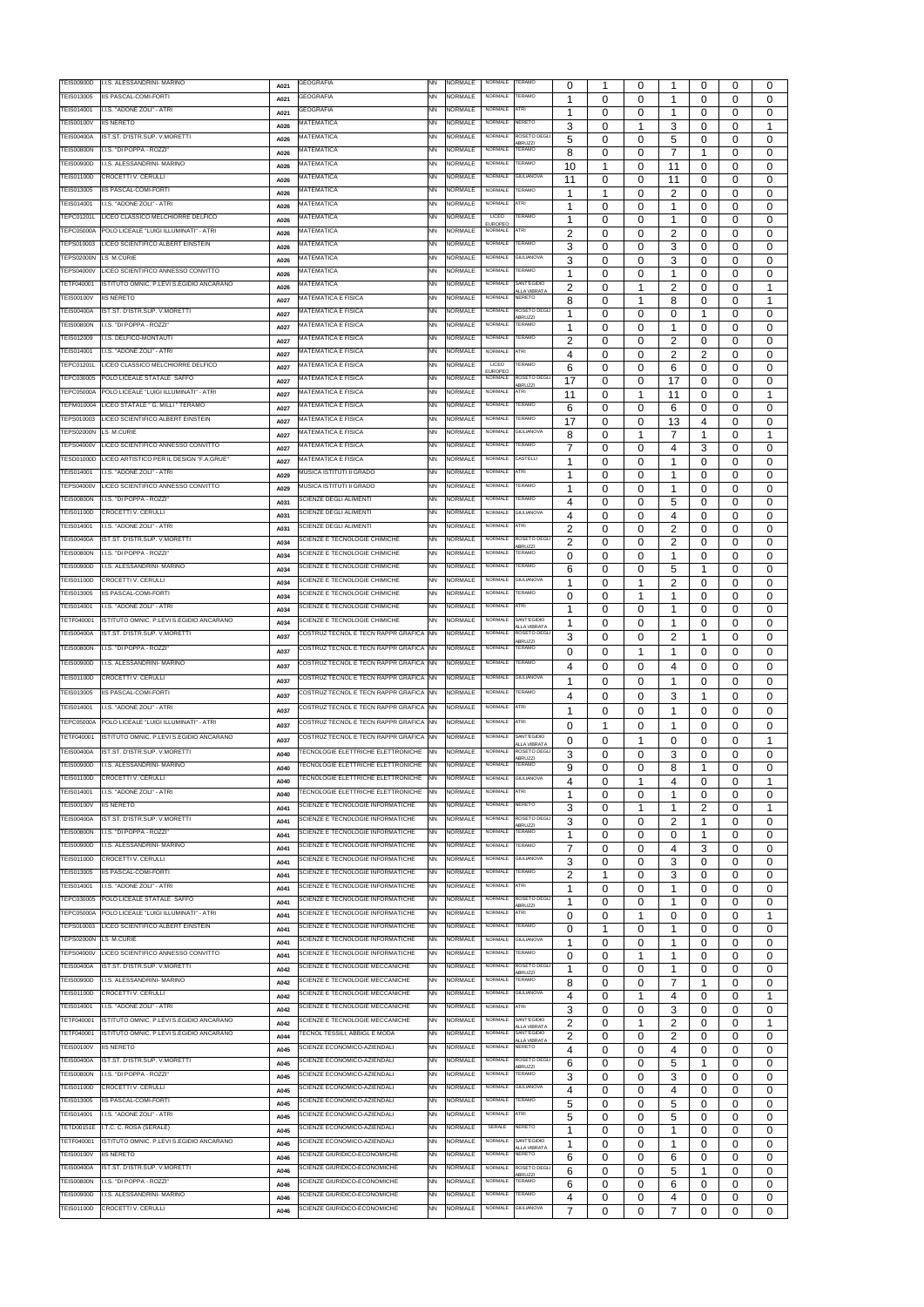| <b>TEIS00900D</b>                      | I.I.S. ALESSANDRINI- MARINO                        | A021 | <b>GEOGRAFIA</b>                                             | NN        | NORMALE                   | NORMALE                   | TERAMO                               | 0                        | 1        | 0        |                | 0              | 0        | 0                |
|----------------------------------------|----------------------------------------------------|------|--------------------------------------------------------------|-----------|---------------------------|---------------------------|--------------------------------------|--------------------------|----------|----------|----------------|----------------|----------|------------------|
| TEIS013005                             | IIS PASCAL-COMI-FORTI                              | A021 | <b>GEOGRAFIA</b>                                             | NΝ        | NORMALE                   | <b>NORMALE</b>            | TERAMO                               | 1                        | 0        | 0        | 1              | 0              | 0        | $\mathbf{0}$     |
| TEIS014001                             | I.I.S. "ADONE ZOLI" - ATRI                         | A021 | <b>GEOGRAFIA</b>                                             | NN        | <b>NORMALE</b>            | <b>NORMALE</b>            | <b>ATRI</b>                          | -1                       | 0        | 0        | -1             | 0              | 0        | $\Omega$         |
| <b>TEIS00100V</b>                      | <b>IIS NERETO</b>                                  |      | <b>MATEMATICA</b>                                            | <b>NN</b> | <b>NORMALE</b>            | NORMALE                   | <b>NERETO</b>                        |                          |          |          |                |                |          |                  |
|                                        |                                                    | A026 |                                                              |           |                           |                           |                                      | 3                        | 0        | 1        | 3              | 0              | $\Omega$ | 1                |
| <b>TEIS00400A</b>                      | IST.ST. D'ISTR.SUP. V.MORETTI                      | A026 | <b>MATEMATICA</b>                                            | <b>NN</b> | <b>NORMALE</b>            | NORMALE                   | ROSETO DEGLI<br><b>BRUZZI</b>        | 5                        | 0        | 0        | 5              | 0              | 0        | $\mathbf{0}$     |
| <b>TEIS00800N</b>                      | I.I.S. "DI POPPA - ROZZI"                          | A026 | <b>MATEMATICA</b>                                            | <b>NN</b> | NORMALE                   | <b>NORMALE</b>            | TERAMO                               | 8                        | 0        | 0        | 7              | $\mathbf 1$    | 0        | $\Omega$         |
| <b>TEIS00900D</b>                      | I.I.S. ALESSANDRINI- MARINO                        | A026 | <b>MATEMATICA</b>                                            | <b>NN</b> | NORMALE                   | <b>NORMALE</b>            | TERAMO                               | 10                       | 1        | 0        | 11             | 0              | 0        | $\Omega$         |
| <b>TEIS01100D</b>                      | CROCETTI V. CERULLI                                | A026 | MATEMATICA                                                   | <b>NN</b> | NORMALE                   | <b>NORMALE</b>            | <b>GIULIANOVA</b>                    | 11                       | 0        | 0        | 11             | 0              | 0        | 0                |
| TEIS013005                             | <b>IIS PASCAL-COMI-FORTI</b>                       |      | <b>MATEMATICA</b>                                            | <b>NN</b> | <b>NORMALE</b>            | <b>NORMALE</b>            | TERAMO                               |                          |          |          |                |                |          |                  |
|                                        |                                                    | A026 |                                                              |           |                           |                           |                                      | 1                        | 1        | 0        | 2              | 0              | 0        | 0                |
| TEIS014001                             | I.I.S. "ADONE ZOLI" - ATRI                         | A026 | MATEMATICA                                                   | <b>NN</b> | NORMALE                   | NORMALE                   | <b>ATRI</b>                          | 1                        | 0        | 0        | 1              | 0              | 0        | 0                |
| <b>TEPC01201L</b>                      | LICEO CLASSICO MELCHIORRE DELFICO                  | A026 | MATEMATICA                                                   | <b>NN</b> | <b>NORMALE</b>            | LICEO<br><b>EUROPEO</b>   | TERAMO                               | 1                        | 0        | 0        | -1             | $\Omega$       | 0        | $\Omega$         |
| <b>TEPC05000A</b>                      | POLO LICEALE "LUIGI ILLUMINATI" - ATRI             | A026 | MATEMATICA                                                   | NΝ        | NORMALE                   | NORMALE                   | <b>ATRI</b>                          | 2                        | 0        | 0        | 2              | $\Omega$       | 0        | 0                |
| TEPS010003                             | LICEO SCIENTIFICO ALBERT EINSTEIN                  |      | <b>MATEMATICA</b>                                            | NΝ        | NORMALE                   | NORMALE                   | TERAMO                               | 3                        | 0        |          |                | $\Omega$       | 0        |                  |
| <b>TEPS02000N</b>                      | LS M.CURIE                                         | A026 | <b>MATEMATICA</b>                                            | NΝ        | NORMALE                   | NORMALE                   | <b>GIULIANOVA</b>                    |                          |          | 0        | 3              |                |          | 0                |
|                                        |                                                    | A026 |                                                              |           |                           |                           |                                      | 3                        | 0        | 0        | 3              | $\Omega$       | 0        | $\Omega$         |
| <b>TEPS04000V</b>                      | LICEO SCIENTIFICO ANNESSO CONVITTO                 | A026 | <b>MATEMATICA</b>                                            | ΝN        | NORMALE                   | <b>NORMALE</b>            | TERAMO                               | 1                        | 0        | 0        |                | $\Omega$       | 0        | $\Omega$         |
| TETF040001                             | ISTITUTO OMNIC. P.LEVI S.EGIDIO ANCARANO           | A026 | <b>MATEMATICA</b>                                            | NΝ        | NORMALE                   | <b>NORMALE</b>            | SANT'EGIDIO<br><b>ALLA VIBRATA</b>   | $\overline{2}$           | 0        | 1        | 2              | $\Omega$       | 0        | 1                |
| <b>TEIS00100V</b>                      | <b>IIS NERETO</b>                                  | A027 | <b>MATEMATICA E FISICA</b>                                   | <b>NN</b> | <b>NORMALE</b>            | NORMALE                   | <b>NERETO</b>                        | 8                        | 0        | 1        | 8              | 0              | 0        | 1                |
| <b>TEIS00400A</b>                      | IST.ST. D'ISTR.SUP. V.MORETTI                      |      | <b>MATEMATICA E FISICA</b>                                   | <b>NN</b> | <b>NORMALE</b>            | NORMALE                   | ROSETO DEGL                          | -1                       |          |          |                |                |          |                  |
| <b>TEIS00800N</b>                      | I.I.S. "DI POPPA - ROZZI"                          | A027 | <b>MATEMATICA E FISICA</b>                                   | <b>NN</b> | <b>NORMALE</b>            | <b>NORMALE</b>            | ABRUZZI<br>TERAMO                    |                          | 0        | 0        | 0              | -1             | 0        | $\Omega$         |
|                                        |                                                    | A027 |                                                              |           |                           |                           |                                      | 1                        | 0        | 0        |                | 0              | 0        | $\Omega$         |
| TEIS012009                             | I.I.S. DELFICO-MONTAUTI                            | A027 | MATEMATICA E FISICA                                          | <b>NN</b> | NORMALE                   | NORMALE                   | TERAMO                               | 2                        | 0        | 0        | 2              | 0              | 0        | $\Omega$         |
| TEIS014001                             | I.I.S. "ADONE ZOLI" - ATRI                         | A027 | MATEMATICA E FISICA                                          | <b>NN</b> | NORMALE                   | NORMALE                   | ATRI                                 | 4                        | 0        | 0        | 2              | $\overline{2}$ | 0        | $\Omega$         |
| <b>TEPC01201L</b>                      | LICEO CLASSICO MELCHIORRE DELFICO                  | A027 | MATEMATICA E FISICA                                          | <b>NN</b> | NORMALE                   | <b>LICEO</b>              | <b>TERAMO</b>                        | 6                        | 0        | 0        | 6              | 0              | 0        | 0                |
| TEPC030005                             | POLO LICEALE STATALE SAFFO                         |      | <b>MATEMATICA E FISICA</b>                                   | <b>NN</b> | <b>NORMALE</b>            | <b>EUROPEC</b><br>NORMALE | ROSETO DEGL                          |                          |          |          |                |                |          |                  |
|                                        |                                                    | A027 |                                                              |           |                           |                           | ABRUZZI                              | 17                       | 0        | 0        | 17             | 0              | 0        | $\Omega$         |
| <b>TEPC05000A</b>                      | POLO LICEALE "LUIGI ILLUMINATI" - ATRI             | A027 | <b>MATEMATICA E FISICA</b>                                   | NΝ        | <b>NORMALE</b>            | NORMALE                   | <b>ATRI</b>                          | 11                       | 0        | 1        | 11             | 0              | 0        | 1                |
| TEPM010004                             | LICEO STATALE " G. MILLI " TERAMO                  | A027 | <b>MATEMATICA E FISICA</b>                                   | NΝ        | <b>NORMALE</b>            | NORMALE                   | TERAMO                               | 6                        | 0        | 0        | 6              | 0              | 0        | 0                |
| TEPS010003                             | LICEO SCIENTIFICO ALBERT EINSTEIN                  | A027 | <b>MATEMATICA E FISICA</b>                                   | NΝ        | <b>NORMALE</b>            | NORMALE                   | TERAMO                               | 17                       | 0        | 0        | 13             | 4              | 0        | $\Omega$         |
| <b>TEPS02000N</b>                      | LS M.CURIE                                         | A027 | <b>MATEMATICA E FISICA</b>                                   | <b>NN</b> | <b>NORMALE</b>            | NORMALE                   | <b>GIULIANOVA</b>                    | 8                        | 0        | 1        | 7              | 1              | 0        | 1                |
| <b>TEPS04000V</b>                      | LICEO SCIENTIFICO ANNESSO CONVITTO                 |      | MATEMATICA E FISICA                                          | NΝ        | NORMALE                   | <b>NORMALE</b>            | TFRAMO                               |                          |          |          |                |                |          |                  |
|                                        |                                                    | A027 |                                                              |           |                           | NORMALE                   | CASTELLI                             | 7                        | 0        | 0        | 4              | 3              | 0        | $\Omega$         |
| <b>TESD01000D</b>                      | LICEO ARTISTICO PER IL DESIGN "F.A.GRUE"           | A027 | <b>MATEMATICA E FISICA</b>                                   | <b>NN</b> | <b>NORMALE</b>            |                           |                                      | -1                       | 0        | 0        | 1              | $\Omega$       | 0        | $\Omega$         |
| TEIS014001                             | I.I.S. "ADONE ZOLI" - ATRI                         | A029 | MUSICA ISTITUTI II GRADO                                     | <b>NN</b> | <b>NORMALE</b>            | NORMALE                   | <b>ATRI</b>                          | -1                       | 0        | 0        | -1             | 0              | 0        | $\Omega$         |
| <b>TEPS04000V</b>                      | LICEO SCIENTIFICO ANNESSO CONVITTO                 | A029 | MUSICA ISTITUTI II GRADO                                     | NΝ        | <b>NORMALE</b>            | NORMALE                   | TERAMO                               | 1                        | 0        | 0        | -1             | 0              | 0        | $\Omega$         |
| <b>TEIS00800N</b>                      | I.I.S. "DI POPPA - ROZZI"                          | A031 | SCIENZE DEGLI ALIMENTI                                       | <b>NN</b> | <b>NORMALE</b>            | <b>NORMALE</b>            | TERAMO                               | 4                        | 0        | 0        | 5              | 0              | 0        | $\Omega$         |
| <b>TEIS01100D</b>                      | CROCETTI V. CERULLI                                |      | SCIENZE DEGLI ALIMENTI                                       | <b>NN</b> | NORMALE                   | NORMALE                   | <b>GIULIANOVA</b>                    |                          |          |          |                |                |          |                  |
|                                        |                                                    | A031 |                                                              |           | <b>NORMALE</b>            | <b>NORMALE</b>            | <b>ATRI</b>                          | 4                        | 0        | 0        | 4              | 0              | 0        | 0                |
| TEIS014001                             | I.I.S. "ADONE ZOLI" - ATRI                         | A031 | SCIENZE DEGLI ALIMENTI                                       | NN        |                           |                           |                                      | 2                        | 0        | 0        | 2              | 0              | 0        | 0                |
| <b>TEIS00400A</b>                      | IST.ST. D'ISTR.SUP. V.MORETTI                      | A034 | SCIENZE E TECNOLOGIE CHIMICHE                                | <b>NN</b> | NORMALE                   | NORMALE                   | ROSETO DEGL<br><b>ABRUZZI</b>        | $\overline{2}$           | 0        | 0        | 2              | 0              | Ω        | 0                |
| <b>TEIS00800N</b>                      | I.I.S. "DI POPPA - ROZZI"                          | A034 | SCIENZE E TECNOLOGIE CHIMICHE                                | NN        | <b>NORMALE</b>            | <b>NORMALE</b>            | <b>TERAMO</b>                        | 0                        | 0        | 0        | 1              | 0              | 0        | $\Omega$         |
| TEIS00900D                             | I.I.S. ALESSANDRINI- MARINO                        | A034 | SCIENZE E TECNOLOGIE CHIMICHE                                | NΝ        | <b>NORMALE</b>            | NORMALE                   | <b>TERAMO</b>                        | 6                        | 0        | 0        | 5              | 1              | 0        | 0                |
| <b>TEIS01100D</b>                      | CROCETTI V. CERULLI                                |      | SCIENZE E TECNOLOGIE CHIMICHE                                | NΝ        | <b>NORMALE</b>            | NORMALE                   | <b>GIULIANOVA</b>                    | 1                        |          |          |                |                |          |                  |
|                                        |                                                    | A034 | SCIENZE E TECNOLOGIE CHIMICHE                                |           |                           | <b>NORMALE</b>            | <b>TERAMO</b>                        |                          | 0        | 1        | 2              | 0              | $\Omega$ | 0                |
| TEIS013005                             | IIS PASCAL-COMI-FORTI                              | A034 |                                                              | <b>NN</b> | NORMALE                   |                           |                                      | $\Omega$                 | 0        | 1        | 1              | $\Omega$       | 0        | $\Omega$         |
| <b>TEIS014001</b>                      | I.I.S. "ADONE ZOLI" - ATRI                         | A034 | SCIENZE E TECNOLOGIE CHIMICHE                                | NN        | <b>NORMALE</b>            | <b>NORMALE</b>            | ATRI                                 | 1                        | $\Omega$ | $\Omega$ |                | $\Omega$       | $\Omega$ | $\Omega$         |
| TETF040001                             | ISTITUTO OMNIC. P.LEVI S.EGIDIO ANCARANO           | A034 | SCIENZE E TECNOLOGIE CHIMICHE                                | <b>NN</b> | NORMALE                   | <b>NORMALE</b>            | SANT'EGIDIO<br><b>ALLA VIBRATA</b>   | 1                        | 0        | 0        | -1             | 0              | $\Omega$ | $\mathbf{0}$     |
| <b>TEIS00400A</b>                      | IST.ST. D'ISTR.SUP. V.MORETTI                      | A037 | COSTRUZ TECNOL E TECN RAPPR GRAFICA                          | <b>NN</b> | <b>NORMALE</b>            | NORMALE                   | ROSETO DEGL                          | 3                        | 0        | 0        | 2              | 1              | 0        | $\Omega$         |
|                                        |                                                    |      |                                                              |           |                           |                           |                                      |                          |          |          |                |                |          |                  |
|                                        |                                                    |      |                                                              |           |                           |                           | <b>ABRUZZI</b><br><b>TERAMO</b>      |                          |          |          |                |                |          |                  |
| <b>TEIS00800N</b>                      | I.I.S. "DI POPPA - ROZZI"                          | A037 | COSTRUZ TECNOL E TECN RAPPR GRAFICA INN                      |           | <b>NORMALE</b>            | <b>NORMALE</b>            |                                      | $\Omega$                 | 0        | 1        | 1              | 0              | 0        | $\mathbf{0}$     |
| <b>TEIS00900D</b>                      | I.I.S. ALESSANDRINI- MARINO                        | A037 | COSTRUZ TECNOL E TECN RAPPR GRAFICA                          | <b>NN</b> | <b>NORMALE</b>            | NORMALE                   | TERAMO                               | 4                        | 0        | 0        | 4              | 0              | 0        | $\Omega$         |
| <b>TEIS01100D</b>                      | <b>CROCETTI V. CERULLI</b>                         | A037 | COSTRUZ TECNOL E TECN RAPPR GRAFICA INN                      |           | <b>NORMALE</b>            | <b>NORMALE</b>            | <b>GIULIANOVA</b>                    | 1                        | 0        |          | 1              | 0              | 0        |                  |
| TEIS013005                             | <b>IIS PASCAL-COMI-FORTI</b>                       |      | COSTRUZ TECNOL E TECN RAPPR GRAFICA NN                       |           | NORMALE                   | <b>NORMALE</b>            | TERAMO                               |                          |          | 0        |                |                |          | 0                |
|                                        |                                                    | A037 |                                                              |           |                           |                           |                                      | 4                        | 0        | 0        | 3              | 1              | 0        | $\Omega$         |
| TEIS014001                             | I.I.S. "ADONE ZOLI" - ATRI                         | A037 | COSTRUZ TECNOL E TECN RAPPR GRAFICA INN                      |           | <b>NORMALE</b>            | <b>NORMALE</b>            | <b>ATRI</b>                          | 1                        | 0        | 0        |                | 0              | 0        | 0                |
| <b>TEPC05000A</b>                      | POLO LICEALE "LUIGI ILLUMINATI" - ATRI             | A037 | COSTRUZ TECNOL E TECN RAPPR GRAFICA INN                      |           | NORMALE                   | NORMALE                   | <b>ATRI</b>                          | $\Omega$                 | 1        |          | -1             |                | $\Omega$ |                  |
| TETF040001                             | ISTITUTO OMNIC. P.LEVI S.EGIDIO ANCARANO           |      | COSTRUZ TECNOL E TECN RAPPR GRAFICA NN                       |           | NORMALE                   | <b>NORMALE</b>            | SANT'EGIDIO                          |                          |          | 0        |                | 0              |          | $\Omega$         |
|                                        |                                                    | A037 |                                                              |           |                           |                           | <b>LLA VIBRATA</b>                   | 0                        | 0        | 1        | 0              | 0              | 0        | 1                |
| <b>TEIS00400A</b>                      | IST.ST. D'ISTR.SUP. V.MORETTI                      | A040 | TECNOLOGIE ELETTRICHE ELETTRONICHE                           | NN        | NORMALE                   | <b>NORMALE</b>            | <b>ROSETO DEGL</b><br><b>ABRUZZI</b> | 3                        | $\Omega$ | 0        | 3              | $\Omega$       | $\Omega$ | $\Omega$         |
| <b>TEIS00900D</b>                      | I.I.S. ALESSANDRINI- MARINO                        | A040 | TECNOLOGIE ELETTRICHE ELETTRONICHE                           | NΝ        | NORMALE                   | <b>NORMALE</b>            | <b>TERAMO</b>                        | 9                        | $\Omega$ | 0        | 8              | 1              | $\Omega$ | $\Omega$         |
| <b>TEIS01100D</b>                      | CROCETTI V. CERULLI                                | A040 | TECNOLOGIE ELETTRICHE ELETTRONICHE                           | NN        | <b>NORMALE</b>            | NORMALE                   | <b>GIULIANOVA</b>                    | $\overline{\mathcal{A}}$ | 0        | 1        | 4              | 0              | 0        | 1                |
| TEIS014001                             | I.I.S. "ADONE ZOLI" - ATRI                         | A040 | TECNOLOGIE ELETTRICHE ELETTRONICHE                           | <b>NN</b> | <b>NORMALE</b>            | NORMALE                   | ATRI                                 | 1                        | 0        | 0        |                | $\Omega$       | 0        | $\Omega$         |
| <b>TEIS00100V</b>                      | <b>IIS NERETO</b>                                  |      | SCIENZE E TECNOLOGIE INFORMATICHE                            | <b>NN</b> | <b>NORMALE</b>            | NORMALE                   | <b>NERETO</b>                        |                          |          |          |                |                |          |                  |
|                                        |                                                    | A041 |                                                              |           |                           |                           |                                      | 3                        | 0        | 1        | -1             | 2              | 0        | 1                |
| <b>TEIS00400A</b>                      | IST.ST. D'ISTR.SUP. V.MORETTI                      | A041 | SCIENZE E TECNOLOGIE INFORMATICHE                            | <b>NN</b> | NORMALE                   | <b>NORMALE</b>            | ROSETO DEGL<br><b>ABRUZZI</b>        | 3                        | 0        | 0        | 2              | 1              | 0        | $\Omega$         |
| <b>TEIS00800N</b>                      | I.I.S. "DI POPPA - ROZZI"                          | A041 | SCIENZE E TECNOLOGIE INFORMATICHE                            | <b>NN</b> | NORMALE                   | <b>NORMALE</b>            | <b>TERAMO</b>                        | 1                        | 0        | 0        | $\Omega$       | 1              | 0        | $\mathbf{0}$     |
| <b>TEIS00900D</b>                      | I.I.S. ALESSANDRINI- MARINO                        | A041 | SCIENZE E TECNOLOGIE INFORMATICHE                            | <b>NN</b> | <b>NORMALE</b>            | <b>NORMALE</b>            | TERAMO                               |                          | 0        | 0        | 4              | 3              | 0        | $\Omega$         |
| <b>TEIS01100D</b>                      | CROCETTI V. CERULLI                                | A041 | SCIENZE E TECNOLOGIE INFORMATICHE                            | <b>NN</b> | <b>NORMALE</b>            | NORMALE                   | <b>GIULIANOVA</b>                    |                          |          | 0        |                | 0              | 0        | $\Omega$         |
| TEIS013005                             | <b>IIS PASCAL-COMI-FORTI</b>                       |      | SCIENZE E TECNOLOGIE INFORMATICHE                            | <b>NN</b> | <b>NORMALE</b>            | NORMALE                   | TERAMO                               | 3                        | 0        |          | 3              |                |          |                  |
|                                        |                                                    | A041 |                                                              |           |                           | NORMALE                   | <b>ATRI</b>                          | $\overline{2}$           | 1        | 0        | 3              | 0              | 0        | $\Omega$         |
| TEIS014001                             | I.I.S. "ADONE ZOLI" - ATRI                         | A041 | SCIENZE E TECNOLOGIE INFORMATICHE                            | <b>NN</b> | <b>NORMALE</b>            |                           |                                      | -1                       | 0        | 0        |                | 0              | 0        | $\Omega$         |
| TEPC030005                             | POLO LICEALE STATALE SAFFO                         | A041 | SCIENZE E TECNOLOGIE INFORMATICHE                            | <b>NN</b> | NORMALE                   | NORMALE                   | ROSETO DEGL<br>BRUZZI                | 1                        | 0        | 0        | 1              | 0              | 0        | $\Omega$         |
| <b>TEPC05000A</b>                      | POLO LICEALE "LUIGI ILLUMINATI" - ATRI             | A041 | SCIENZE E TECNOLOGIE INFORMATICHE                            | <b>NN</b> | NORMALE                   | <b>NORMALE</b>            | ATRI                                 | $\Omega$                 | 0        | 1        | 0              | 0              | 0        | 1                |
| TEPS010003                             | LICEO SCIENTIFICO ALBERT EINSTEIN                  | A041 | SCIENZE E TECNOLOGIE INFORMATICHE                            | <b>NN</b> | NORMALE                   | <b>NORMALE</b>            | TERAMO                               | $\Omega$                 | 1        | 0        | 1              | 0              | $\Omega$ | $\Omega$         |
| <b>TEPS02000N</b>                      | LS M.CURIE                                         |      | SCIENZE E TECNOLOGIE INFORMATICHE                            | <b>NN</b> | <b>NORMALE</b>            | NORMALE                   | <b>GIULIANOVA</b>                    |                          |          |          | 1              |                |          |                  |
| <b>TEPS04000V</b>                      | LICEO SCIENTIFICO ANNESSO CONVITTO                 | A041 | SCIENZE E TECNOLOGIE INFORMATICHE                            | NN        | <b>NORMALE</b>            | NORMALE                   | TERAMO                               | -1                       | 0        | 0        |                | 0              | 0        | $\Omega$         |
|                                        |                                                    | A041 |                                                              |           |                           |                           |                                      | $\Omega$                 | 0        | 1        | 1              | $\Omega$       | 0        | $\Omega$         |
| <b>TEIS00400A</b>                      | IST.ST. D'ISTR.SUP. V.MORETTI                      | A042 | SCIENZE E TECNOLOGIE MECCANICHE                              | <b>NN</b> | <b>NORMALE</b>            | <b>NORMALE</b>            | ROSETO DEGL<br><b>BRUZZI</b>         | 1                        | 0        | 0        |                | 0              | 0        | $\Omega$         |
| <b>TEIS00900D</b>                      | I.I.S. ALESSANDRINI- MARINO                        | A042 | SCIENZE E TECNOLOGIE MECCANICHE                              | <b>NN</b> | NORMALE                   | <b>NORMALE</b>            | <b>TERAMO</b>                        | 8                        | 0        | 0        | 7              | 1              | 0        | $\Omega$         |
| <b>TEIS01100D</b>                      | CROCETTI V. CERULLI                                | A042 | SCIENZE E TECNOLOGIE MECCANICHE                              | <b>NN</b> | NORMALE                   | <b>NORMALE</b>            | <b>GIULIANOVA</b>                    | 4                        | 0        | 1        | 4              | 0              | 0        | 1                |
| <b>TEIS014001</b>                      | I.I.S. "ADONE ZOLI" - ATRI                         |      | SCIENZE E TECNOLOGIE MECCANICHE                              | <b>NN</b> | <b>NORMALE</b>            | <b>NORMALE</b>            | <b>ATRI</b>                          |                          |          |          |                |                |          |                  |
| TETF040001                             | ISTITUTO OMNIC. P.LEVI S.EGIDIO ANCARANO           | A042 | SCIENZE E TECNOLOGIE MECCANICHE                              | NN        | <b>NORMALE</b>            | NORMALE                   | SANT'EGIDIO                          | 3                        | 0        | 0        | 3              | 0              | 0        | 0                |
|                                        |                                                    | A042 |                                                              |           |                           |                           | <b>ALLA VIBRATA</b>                  | $\overline{2}$           | 0        | 1        | $\overline{2}$ | $\Omega$       | 0        | 1                |
| TETF040001                             | ISTITUTO OMNIC. P.LEVI S.EGIDIO ANCARANO           | A044 | FECNOL TESSILI, ABBIGL E MODA                                | <b>NN</b> | <b>NORMALE</b>            | <b>NORMALE</b>            | SANT'EGIDIO<br><b>ALLA VIBRATA</b>   | 2                        | 0        | 0        | 2              | 0              | 0        | $\mathbf 0$      |
| <b>TEIS00100V</b>                      | <b>IIS NERETO</b>                                  | A045 | SCIENZE ECONOMICO-AZIENDALI                                  | NN        | NORMALE                   | <b>NORMALE</b>            | <b>NERETO</b>                        | 4                        | 0        | 0        | 4              | 0              | 0        | $\Omega$         |
| <b>TEIS00400A</b>                      | IST.ST. D'ISTR.SUP. V.MORETTI                      | A045 | SCIENZE ECONOMICO-AZIENDALI                                  | ΝN        | NORMALE                   | NORMALE                   | ROSETO DEGLI<br><b>ABRUZZI</b>       | 6                        | 0        | 0        | 5              | 1              | 0        | 0                |
| <b>TEIS00800N</b>                      | I.I.S. "DI POPPA - ROZZI"                          | A045 | SCIENZE ECONOMICO-AZIENDALI                                  | <b>NN</b> | NORMALE                   | <b>NORMALE</b>            | TERAMO                               | 3                        | 0        | 0        | 3              | 0              | 0        | 0                |
| <b>TEIS01100D</b>                      | CROCETTI V. CERULLI                                |      | SCIENZE ECONOMICO-AZIENDALI                                  | NΝ        | <b>NORMALE</b>            | <b>NORMALE</b>            | <b>GIULIANOVA</b>                    |                          |          |          |                |                |          |                  |
| TEIS013005                             | IIS PASCAL-COMI-FORTI                              | A045 | SCIENZE ECONOMICO-AZIENDALI                                  | NN        | <b>NORMALE</b>            | <b>NORMALE</b>            | TERAMO                               | 4                        | 0        | 0        | 4              | 0              | 0        | $\Omega$         |
|                                        |                                                    | A045 |                                                              |           |                           |                           |                                      | 5                        | 0        | 0        | 5              | 0              | 0        | $\Omega$         |
| TEIS014001                             | I.I.S. "ADONE ZOLI" - ATRI                         | A045 | SCIENZE ECONOMICO-AZIENDALI                                  | NN        | <b>NORMALE</b>            | <b>NORMALE</b>            | ATRI                                 | 5                        | 0        | 0        | 5              | 0              | 0        | $\Omega$         |
| <b>TETD00151E</b>                      | I.T.C. C. ROSA (SERALE)                            | A045 | SCIENZE ECONOMICO-AZIENDALI                                  | <b>NN</b> | NORMALE                   | SERALE                    | NERETO                               | 1                        | 0        | 0        | 1              | 0              | $\Omega$ | $\Omega$         |
| TETF040001                             | ISTITUTO OMNIC. P.LEVI S.EGIDIO ANCARANO           | A045 | SCIENZE ECONOMICO-AZIENDALI                                  | <b>NN</b> | <b>NORMALE</b>            | <b>NORMALE</b>            | SANT'EGIDIO                          |                          | 0        | 0        | 1              | 0              | 0        | 0                |
| <b>TEIS00100V</b>                      | <b>IIS NERETO</b>                                  | A046 | SCIENZE GIURIDICO-ECONOMICHE                                 | <b>NN</b> | NORMALE                   | <b>NORMALE</b>            | <b>ALLA VIBRATA</b><br><b>NERETO</b> |                          | 0        |          |                | 0              | 0        | 0                |
| <b>TEIS00400A</b>                      | IST.ST. D'ISTR.SUP. V.MORETTI                      |      | SCIENZE GIURIDICO-ECONOMICHE                                 | <b>NN</b> | <b>NORMALE</b>            | NORMALE                   | ROSETO DEGL                          | 6                        |          | 0        | 6              |                |          |                  |
|                                        |                                                    | A046 |                                                              |           |                           | <b>NORMALE</b>            | <b>BRUZZI</b><br>TERAMO              | 6                        | 0        | 0        | 5              | 1              | 0        | 0                |
| <b>TEIS00800N</b>                      | I.I.S. "DI POPPA - ROZZI"                          | A046 | SCIENZE GIURIDICO-ECONOMICHE                                 | <b>NN</b> | NORMALE                   |                           |                                      | 6                        | 0        | 0        | 6              | 0              | 0        | 0                |
| <b>TEIS00900D</b><br><b>TEIS01100D</b> | I.I.S. ALESSANDRINI- MARINO<br>CROCETTI V. CERULLI | A046 | SCIENZE GIURIDICO-ECONOMICHE<br>SCIENZE GIURIDICO-ECONOMICHE | NN<br>NN  | <b>NORMALE</b><br>NORMALE | NORMALE<br>NORMALE        | TERAMO<br><b>GIULIANOVA</b>          | 4<br>7                   | 0<br>0   | 0<br>0   | 4<br>7         | 0<br>0         | 0        | 0<br>$\mathbf 0$ |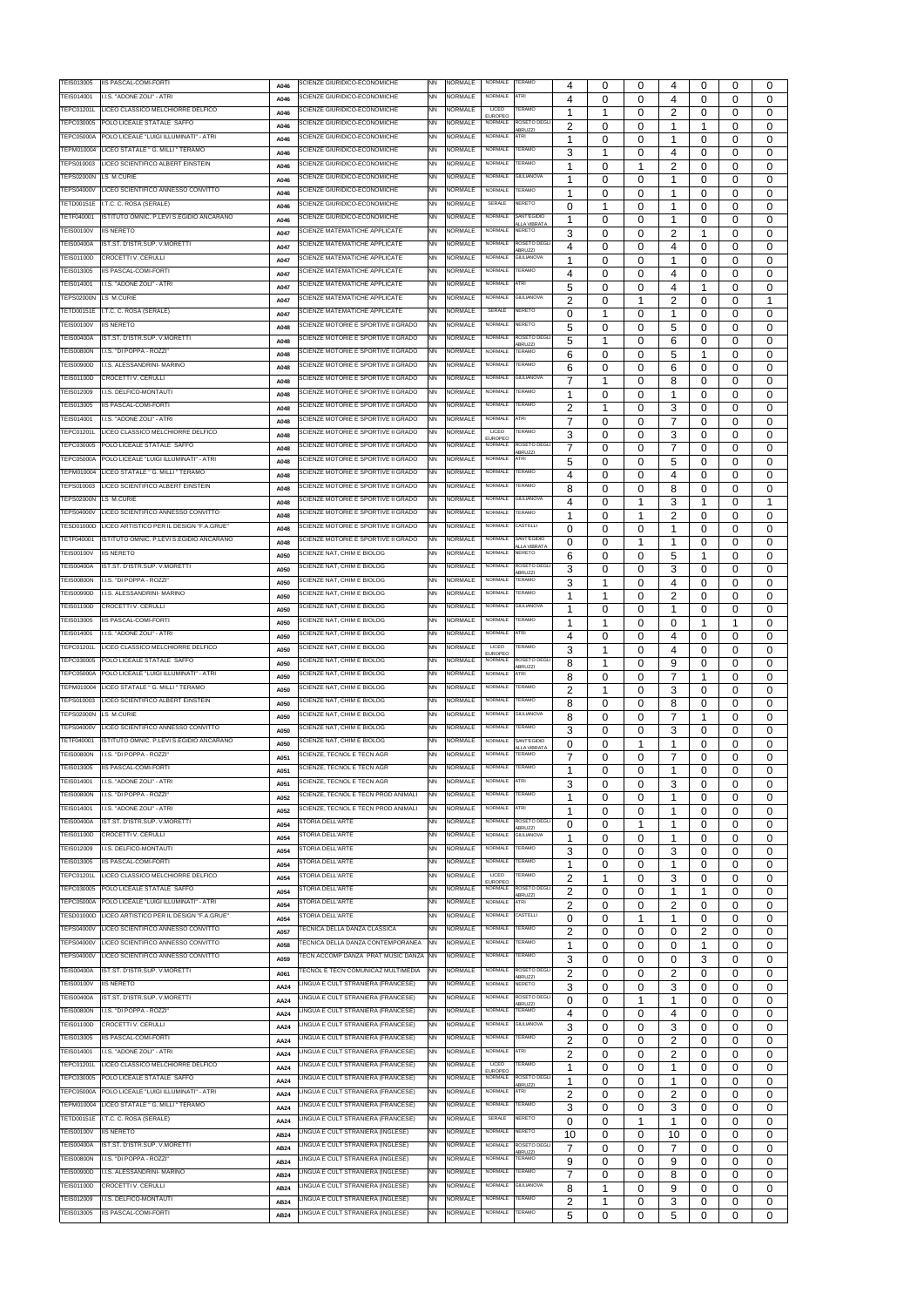| TEIS013005        | IIS PASCAL-COMI-FORTI                    |             | SCIENZE GIURIDICO-ECONOMICHE                 | <b>NN</b> | NORMALE        | NORMALE                          | <b>TERAMO</b>                       |                  |          |   |                      |          |          |             |
|-------------------|------------------------------------------|-------------|----------------------------------------------|-----------|----------------|----------------------------------|-------------------------------------|------------------|----------|---|----------------------|----------|----------|-------------|
| TEIS014001        | I.I.S. "ADONE ZOLI" - ATRI               | A046        | SCIENZE GIURIDICO-ECONOMICHE                 | <b>NN</b> | NORMALE        | <b>NORMALE</b>                   | <b>ATRI</b>                         | 4                | 0        | 0 | 4                    | 0        | 0        | 0           |
| TEPC01201L        | LICEO CLASSICO MELCHIORRE DELFICO        | A046        | SCIENZE GIURIDICO-ECONOMICHE                 | <b>NN</b> | NORMALE        | LICEO                            | <b>ERAMO</b>                        | 4                | 0        | 0 | 4                    | 0        | 0        | 0           |
| TEPC030005        | POLO LICEALE STATALE SAFFO               | A046        | SCIENZE GIURIDICO-ECONOMICHE                 | <b>NN</b> | NORMALE        | <b>EUROPEO</b><br>NORMALE        | ROSETO DEGLI                        | 1                | 1        | 0 | 2                    | 0        | 0        | 0           |
| <b>TEPC05000A</b> | POLO LICEALE "LUIGI ILLUMINATI" - ATRI   | A046        | SCIENZE GIURIDICO-ECONOMICHE                 | <b>NN</b> | NORMALE        | NORMALE                          | <b>BRUZZI</b><br>ATRI               | $\overline{2}$   | 0        | 0 | 1                    | 1        | 0        | 0           |
| TEPM010004        | LICEO STATALE " G. MILLI " TERAMO        | A046        | SCIENZE GIURIDICO-ECONOMICHE                 | <b>NN</b> | NORMALE        | NORMALE                          | TERAMO                              | 1                | 0        | 0 | 1                    | $\Omega$ | 0        | $\Omega$    |
| TEPS010003        | LICEO SCIENTIFICO ALBERT EINSTEIN        | A046        | SCIENZE GIURIDICO-ECONOMICHE                 | <b>NN</b> | NORMALE        | <b>NORMALE</b>                   | TERAMO                              | 3                | 1        | 0 | 4                    | 0        | 0        | $\Omega$    |
| <b>TEPS02000N</b> | LS M.CURIE                               | A046        | SCIENZE GIURIDICO-ECONOMICHE                 | <b>NN</b> | NORMALE        | <b>NORMALE</b>                   | <b>GIULIANOVA</b>                   | -1               | 0        | 1 | 2                    | 0        | 0        | $\Omega$    |
| <b>TEPS04000V</b> | LICEO SCIENTIFICO ANNESSO CONVITTO       | A046        | SCIENZE GIURIDICO-ECONOMICHE                 | <b>NN</b> | NORMALE        | <b>NORMALE</b>                   | <b>TERAMO</b>                       | 1                | 0        | 0 | 1                    | 0        | 0        | $\Omega$    |
| TETD00151E        | I.T.C. C. ROSA (SERALE)                  | A046        | SCIENZE GIURIDICO-ECONOMICHE                 | <b>NN</b> | NORMALE        | SERALE                           | NERETO                              | -1               | 0        | 0 | 1                    | 0        | 0        | $\Omega$    |
| TETF040001        |                                          | A046        |                                              | <b>NN</b> |                | <b>NORMALE</b>                   | SANT'EGIDIO                         | 0                | 1        | 0 | 1                    | 0        | 0        | $\Omega$    |
|                   | ISTITUTO OMNIC. P.LEVI S.EGIDIO ANCARANO | A046        | SCIENZE GIURIDICO-ECONOMICHE                 |           | NORMALE        |                                  | <b>VLLA VIBRATA</b>                 | 1                | 0        | 0 | 1                    | 0        | 0        | 0           |
| <b>TEIS00100V</b> | <b>IIS NERETO</b>                        | A047        | SCIENZE MATEMATICHE APPLICATE                | <b>NN</b> | <b>NORMALE</b> | NORMALE                          | <b>NERETO</b>                       | 3                | 0        | 0 | 2                    | 1        | 0        | $\Omega$    |
| <b>TEIS00400A</b> | IST.ST. D'ISTR.SUP. V.MORETTI            | A047        | SCIENZE MATEMATICHE APPLICATE                | <b>NN</b> | <b>NORMALE</b> | <b>NORMALE</b>                   | ROSETO DEGLI<br>BRUZZI              | 4                | 0        | 0 | 4                    | 0        | 0        | 0           |
| <b>TEIS01100D</b> | <b>CROCETTI V. CERULLI</b>               | A047        | SCIENZE MATEMATICHE APPLICATE                | <b>NN</b> | NORMALE        | NORMALE                          | <b>GIULIANOVA</b>                   |                  | 0        | 0 | 1                    | $\Omega$ | 0        | $\Omega$    |
| TEIS013005        | IIS PASCAL-COMI-FORTI                    | A047        | SCIENZE MATEMATICHE APPLICATE                | <b>NN</b> | NORMALE        | NORMALE                          | TERAMO                              | 4                | 0        | 0 | 4                    | 0        | $\Omega$ | 0           |
| TEIS014001        | I.I.S. "ADONE ZOLI" - ATRI               | A047        | SCIENZE MATEMATICHE APPLICATE                | <b>NN</b> | NORMALE        | NORMALE                          | ATRI                                | 5                | 0        | 0 | 4                    | 1        | $\Omega$ | $\Omega$    |
| <b>TEPS02000N</b> | LS M.CURIE                               | A047        | SCIENZE MATEMATICHE APPLICATE                | <b>NN</b> | NORMALE        | <b>NORMALE</b>                   | <b>GIULIANOVA</b>                   | $\overline{2}$   | 0        | 1 | 2                    | $\Omega$ | $\Omega$ | 1           |
| TETD00151E        | I.T.C. C. ROSA (SERALE)                  | A047        | SCIENZE MATEMATICHE APPLICATE                | <b>NN</b> | <b>NORMALE</b> | SERALE                           | NERETO                              | $\Omega$         | 1        | 0 | 1                    | $\Omega$ | $\Omega$ | $\Omega$    |
| <b>TEIS00100V</b> | <b>IIS NERETO</b>                        | A048        | SCIENZE MOTORIE E SPORTIVE II GRADO          | <b>NN</b> | NORMALE        | NORMALE                          | NERETO                              | 5                | 0        | 0 | 5                    | 0        | $\Omega$ | 0           |
| <b>TEIS00400A</b> | IST.ST. D'ISTR.SUP. V.MORETTI            | A048        | SCIENZE MOTORIE E SPORTIVE II GRADO          | <b>NN</b> | <b>NORMALE</b> | NORMALE                          | ROSETO DEGL<br><b>IBRU77</b>        | 5                | 1        | 0 | 6                    | 0        | 0        | $\Omega$    |
| <b>TEIS00800N</b> | I.I.S. "DI POPPA - ROZZI'                | A048        | SCIENZE MOTORIE E SPORTIVE II GRADO          | <b>NN</b> | NORMALE        | NORMALE                          | <b>TERAMO</b>                       | 6                | 0        | 0 | 5                    | -1       | 0        | $\Omega$    |
| <b>TEIS00900D</b> | I.I.S. ALESSANDRINI- MARINO              | A048        | SCIENZE MOTORIE E SPORTIVE II GRADO          | <b>NN</b> | <b>NORMALE</b> | NORMALE                          | TERAMO                              | 6                | 0        | 0 | 6                    | 0        | 0        | 0           |
| TEIS01100D        | CROCETTI V. CERULLI                      | A048        | SCIENZE MOTORIE E SPORTIVE II GRADO          | <b>NN</b> | NORMALE        | <b>NORMALE</b>                   | <b>GIULIANOVA</b>                   | 7                | 1        | 0 | 8                    | 0        | 0        | 0           |
| TEIS012009        | I.I.S. DELFICO-MONTAUTI                  | A048        | SCIENZE MOTORIE E SPORTIVE II GRADO          | <b>NN</b> | NORMALE        | <b>NORMALE</b>                   | TERAMO                              |                  | 0        | 0 |                      | 0        | 0        | 0           |
| TEIS013005        | <b>IIS PASCAL-COMI-FORTI</b>             | A048        | SCIENZE MOTORIE E SPORTIVE II GRADO          | <b>NN</b> | NORMALE        | NORMALE                          | <b>TERAMO</b>                       | 2                | 1        | 0 | 3                    | 0        | 0        | 0           |
| TEIS014001        | I.I.S. "ADONE ZOLI" - ATRI               | A048        | SCIENZE MOTORIE E SPORTIVE II GRADO          | <b>NN</b> | NORMALE        | NORMALE                          | <b>ATRI</b>                         | 7                | 0        | 0 | 7                    | 0        | 0        | $\Omega$    |
| TEPC01201L        | LICEO CLASSICO MELCHIORRE DELFICO        | A048        | SCIENZE MOTORIE E SPORTIVE II GRADO          | <b>NN</b> | NORMALE        | LICEO                            | <b>TERAMO</b>                       | 3                | 0        | 0 | 3                    | 0        | 0        | $\Omega$    |
| TEPC030005        | POLO LICEALE STATALE SAFFO               | A048        | SCIENZE MOTORIE E SPORTIVE II GRADO          | <b>NN</b> | NORMALE        | <b>EUROPEO</b><br>NORMALE        | ROSETO DEGL                         | 7                | 0        | 0 | 7                    | 0        | 0        | 0           |
| <b>TEPC05000A</b> | POLO LICEALE "LUIGI ILLUMINATI" - ATRI   | A048        | SCIENZE MOTORIE E SPORTIVE II GRADO          | <b>NN</b> | NORMALE        | <b>NORMALE</b>                   | <b>ABRUZZI</b><br><b>ATRI</b>       | 5                | 0        | 0 | 5                    | $\Omega$ | 0        | $\Omega$    |
| TEPM010004        | LICEO STATALE " G. MILLI " TERAMO        | A048        | SCIENZE MOTORIE E SPORTIVE II GRADO          | <b>NN</b> | NORMALE        | <b>NORMALE</b>                   | TERAMO                              | 4                | 0        | 0 | 4                    | $\Omega$ | 0        | $\Omega$    |
| TEPS010003        | LICEO SCIENTIFICO ALBERT EINSTEIN        | A048        | SCIENZE MOTORIE E SPORTIVE II GRADO          | <b>NN</b> | NORMALE        | NORMALE                          | TERAMO                              | 8                | 0        | 0 | 8                    | $\Omega$ | 0        | $\Omega$    |
| <b>TEPS02000N</b> | LS M.CURIE                               | A048        | SCIENZE MOTORIE E SPORTIVE II GRADO          | <b>NN</b> | NORMALE        | NORMALE                          | <b>GIULIANOVA</b>                   | 4                | 0        | 1 | 3                    | 1        | 0        | 1           |
| <b>TEPS04000V</b> | LICEO SCIENTIFICO ANNESSO CONVITTO       | A048        | SCIENZE MOTORIE E SPORTIVE II GRADO          | <b>NN</b> | NORMALE        | <b>NORMALE</b>                   | TERAMO                              | 1                | 0        | 1 | 2                    | 0        | 0        | $\Omega$    |
| <b>TESD01000D</b> | LICEO ARTISTICO PER IL DESIGN "F.A.GRUE" |             | SCIENZE MOTORIE E SPORTIVE II GRADO          | <b>NN</b> | NORMALE        | <b>NORMALE</b>                   | CASTELLI                            |                  |          |   | 1                    |          |          |             |
| TETF040001        | ISTITUTO OMNIC. P.LEVI S.EGIDIO ANCARANO | A048        | SCIENZE MOTORIE E SPORTIVE II GRADO          | <b>NN</b> | <b>NORMALE</b> | <b>NORMALE</b>                   | SANT'EGIDIO                         | 0                | 0        | 0 | 1                    | 0        | 0        | $\Omega$    |
| <b>TEIS00100V</b> | <b>IIS NERETO</b>                        | A048        | SCIENZE NAT, CHIM E BIOLOG                   | <b>NN</b> | NORMALE        | <b>NORMALE</b>                   | <b>LLA VIBRATA</b><br><b>NERETO</b> | 0                | 0        | 1 |                      | 0        | 0        | 0           |
| <b>TEIS00400A</b> | IST.ST. D'ISTR.SUP. V.MORETTI            | A050        | SCIENZE NAT, CHIM E BIOLOG                   | <b>NN</b> | <b>NORMALE</b> | NORMALE                          | ROSETO DEGLI                        | 6                | 0        | 0 | 5                    | 1        | 0        | $\Omega$    |
| <b>TEIS00800N</b> | .I.S. "DI POPPA - ROZZI"                 | A050        | SCIENZE NAT, CHIM E BIOLOG                   | <b>NN</b> | NORMALE        | <b>NORMALE</b>                   | <b>ABRUZZI</b><br>TERAMO            | 3                | 0        | 0 | 3                    | 0        | 0        | 0           |
| <b>TEIS00900D</b> | .I.S. ALESSANDRINI- MARINO               | A050        | SCIENZE NAT, CHIM E BIOLOG                   | <b>NN</b> | NORMALE        | NORMALE                          | TERAMO                              | 3                | 1        | 0 | 4                    | 0        | $\Omega$ | 0           |
| <b>TEIS01100D</b> | CROCETTI V. CERULLI                      | A050        | SCIENZE NAT, CHIM E BIOLOG                   | <b>NN</b> | NORMALE        | <b>NORMALE</b>                   | <b>GIULIANOVA</b>                   | 1                | 1        | 0 | 2                    | 0        | $\Omega$ | 0           |
| TEIS013005        | IIS PASCAL-COMI-FORTI                    | A050        | SCIENZE NAT, CHIM E BIOLOG                   | <b>NN</b> | NORMALE        | <b>NORMALE</b>                   | TERAMO                              | 1                | 0        | 0 | 1                    | $\Omega$ | $\Omega$ | 0           |
| TEIS014001        | I.I.S. "ADONE ZOLI" - ATRI               | A050        | SCIENZE NAT, CHIM E BIOLOG                   | <b>NN</b> | NORMALE        | <b>NORMALE</b>                   | <b>ATRI</b>                         | 1                | 1        | 0 | 0                    | 1        | 1        | $\Omega$    |
|                   |                                          | A050        |                                              |           | <b>NORMALE</b> | LICEO                            | TERAMO                              | $\boldsymbol{4}$ | 0        | 0 | 4                    | $\Omega$ | $\Omega$ | $\Omega$    |
| TEPC01201L        | LICEO CLASSICO MELCHIORRE DELFICO        | A050        | SCIENZE NAT, CHIM E BIOLOG                   | <b>NN</b> |                | <b>EUROPEO</b>                   |                                     | 3                | 1        | 0 | 4                    | $\Omega$ | $\Omega$ | $\Omega$    |
| TEPC030005        | POLO LICEALE STATALE SAFFO               | A050        | SCIENZE NAT. CHIM E BIOLOG                   | <b>NN</b> | NORMALE        | NORMALE                          | ROSETO DEGLI<br>BRUZZI              | 8                | 1        | 0 | 9                    | 0        | $\Omega$ | 0           |
| <b>TEPC05000A</b> | POLO LICEALE "LUIGI ILLUMINATI" - ATRI   | A050        | SCIENZE NAT, CHIM E BIOLOG                   | <b>NN</b> | NORMALE        | NORMALE                          | ATRI                                | 8                | 0        | 0 | $\overline{7}$       | -1       | $\Omega$ | 0           |
| <b>TEPM010004</b> | LICEO STATALE " G. MILLI " TERAMO        | A050        | SCIENZE NAT, CHIM E BIOLOG                   | <b>NN</b> | <b>NORMALE</b> | NORMALE                          | TERAMO                              | $\overline{2}$   | 1        | 0 | 3                    | 0        | $\Omega$ | 0           |
| TEPS010003        | LICEO SCIENTIFICO ALBERT EINSTEIN        | A050        | SCIENZE NAT, CHIM E BIOLOG                   | <b>NN</b> | NORMALE        | <b>NORMALE</b>                   | <b>TERAMO</b>                       | 8                | 0        | 0 | 8                    | 0        | 0        | 0           |
| <b>TEPS02000N</b> | LS M.CURIE                               | A050        | SCIENZE NAT, CHIM E BIOLOG                   | <b>NN</b> | NORMALE        | <b>NORMALE</b>                   | <b>GIULIANOVA</b>                   | 8                | 0        | 0 | 7                    | 1        | 0        | $\Omega$    |
| <b>TEPS04000V</b> | LICEO SCIENTIFICO ANNESSO CONVITTO       | A050        | SCIENZE NAT, CHIM E BIOLOG                   | <b>NN</b> | NORMALE        | NORMALE                          | <b>TERAMO</b>                       | 3                | 0        | 0 | 3                    | 0        | 0        | 0           |
| TETF040001        | ISTITUTO OMNIC. P.LEVI S.EGIDIO ANCARANO | A050        | SCIENZE NAT, CHIM E BIOLOG                   | <b>NN</b> | NORMALE        | <b>NORMALE</b>                   | SANT'EGIDIO<br><b>LLA VIBRATA</b>   | 0                | 0        | 1 | 1                    | 0        | $\Omega$ | 0           |
| <b>TEIS00800N</b> | I.I.S. "DI POPPA - ROZZI"                | A051        | SCIENZE, TECNOL E TECN AGR                   | <b>NN</b> | NORMALE        | NORMALE                          | <b>TERAMO</b>                       | 7                | 0        | 0 | 7                    | 0        | 0        | 0           |
| TEIS013005        | IIS PASCAL-COMI-FORTI                    | A051        | SCIENZE, TECNOL E TECN AGR                   | <b>NN</b> | NORMALE        | NORMALE                          | <b>TERAMO</b>                       | 1                | 0        | 0 | 1                    | 0        | 0        | $\Omega$    |
| TEIS014001        | I.I.S. "ADONE ZOLI" - ATRI               | A051        | SCIENZE, TECNOL E TECN AGR                   | <b>NN</b> | NORMALE        | <b>NORMALE</b>                   | ATRI                                | 3                | 0        | 0 | 3                    | 0        | $\Omega$ | 0           |
| <b>TEIS00800N</b> | I.I.S. "DI POPPA - ROZZI"                | A052        | SCIENZE, TECNOL E TECN PROD ANIMALI          | <b>NN</b> | NORMALE        | <b>NORMALE</b>                   | TERAMO                              | -1               | 0        | 0 |                      | $\Omega$ | 0        | $\Omega$    |
| TEIS014001        | I.I.S. "ADONE ZOLI" - ATRI               | A052        | SCIENZE, TECNOL E TECN PROD ANIMALI          | <b>NN</b> | <b>NORMALE</b> | <b>NORMALE</b>                   | ATRI                                | 1                | 0        | 0 | 1                    | 0        | $\Omega$ | 0           |
| <b>TEIS00400A</b> | IST.ST. D'ISTR.SUP. V.MORETTI            | A054        | STORIA DELL'ARTE                             | <b>NN</b> | NORMALE        | NORMALE                          | ROSETO DEGL<br>BRUZZI               | 0                | $\Omega$ | 1 | 1                    | 0        | $\Omega$ | 0           |
| TEIS01100D        | CROCETTI V. CERULLI                      | A054        | STORIA DELL'ARTE                             | <b>NN</b> | NORMALE        | NORMALE                          | <b>GIULIANOVA</b>                   | 1                | 0        | 0 | 1                    | $\Omega$ | 0        | 0           |
| TEIS012009        | .I.S. DELFICO-MONTAUTI                   | A054        | STORIA DELL'ARTE                             | <b>NN</b> | NORMALE        | NORMALE                          | TERAMO                              | 3                | 0        | 0 | 3                    | 0        | 0        | $\Omega$    |
| TEIS013005        | IIS PASCAL-COMI-FORTI                    | A054        | STORIA DELL'ARTE                             | <b>NN</b> | NORMALE        | <b>NORMALE</b>                   | TERAMO                              | 1                | 0        | 0 | $\blacktriangleleft$ | 0        | $\Omega$ | $\Omega$    |
| TEPC01201L        | LICEO CLASSICO MELCHIORRE DELFICO        | A054        | STORIA DELL'ARTE                             | <b>NN</b> | NORMALE        | LICEO                            | <b>ERAMO</b>                        | $\overline{2}$   | 1        | 0 | 3                    | $\Omega$ | $\Omega$ | $\Omega$    |
| TEPC030005        | POLO LICEALE STATALE SAFFO               | A054        | STORIA DELL'ARTE                             | <b>NN</b> | <b>NORMALE</b> | <b>EUROPEO</b><br><b>NORMALE</b> | ROSETO DEGLI                        | $\overline{2}$   | 0        | 0 | 1                    | 1        | 0        | $\Omega$    |
| TEPC05000A        | POLO LICEALE "LUIGI ILLUMINATI" - ATRI   | A054        | STORIA DELL'ARTE                             | <b>NN</b> | NORMALE        | <b>NORMALE</b>                   | <b>ABRUZZI</b><br>ATRI              | $\overline{2}$   | 0        | 0 | 2                    | $\Omega$ | 0        | 0           |
| TESD01000D        | ICEO ARTISTICO PER IL DESIGN "F.A.GRUE"  | A054        | STORIA DELL'ARTE                             | <b>NN</b> | NORMALE        | <b>NORMALE</b>                   | CASTELLI                            | $\Omega$         | 0        | 1 | 1                    | 0        | $\Omega$ | 0           |
| <b>TEPS04000V</b> | ICEO SCIENTIFICO ANNESSO CONVITTO        | A057        | FECNICA DELLA DANZA CLASSICA                 | <b>NN</b> | NORMALE        | NORMALE                          | TERAMO                              | 2                | 0        | 0 | 0                    | 2        | $\Omega$ | 0           |
| <b>TEPS04000V</b> | LICEO SCIENTIFICO ANNESSO CONVITTO       | A058        | <b>FECNICA DELLA DANZA CONTEMPORANEA</b>     | <b>NN</b> | NORMALE        | <b>NORMALE</b>                   | <b>TERAMO</b>                       | 1                | 0        | 0 | 0                    | 1        | $\Omega$ | 0           |
| <b>TEPS04000V</b> | LICEO SCIENTIFICO ANNESSO CONVITTO       | A059        | <b>FECN ACCOMP DANZA PRAT MUSIC DANZA NN</b> |           | NORMALE        | <b>NORMALE</b>                   | <b>TERAMO</b>                       | 3                | 0        | 0 | 0                    | 3        | $\Omega$ | 0           |
| <b>TEIS00400A</b> | IST.ST. D'ISTR.SUP. V.MORETTI            | A061        | <b>FECNOL E TECN COMUNICAZ MULTIMEDIA</b>    | <b>NN</b> | <b>NORMALE</b> | <b>NORMALE</b>                   | ROSETO DEGL                         | $\overline{2}$   | 0        | 0 | 2                    | $\Omega$ | $\Omega$ | 0           |
| <b>TEIS00100V</b> | <b>IIS NERETO</b>                        | AA24        | LINGUA E CULT STRANIERA (FRANCESE)           | <b>NN</b> | <b>NORMALE</b> | <b>NORMALE</b>                   | <b>ABRUZZI</b><br><b>NERETO</b>     | 3                | 0        | 0 | 3                    | 0        | 0        | 0           |
| <b>TEIS00400A</b> | IST.ST. D'ISTR.SUP. V.MORETTI            | AA24        | INGUA E CULT STRANIERA (FRANCESE)            | <b>NN</b> | NORMALE        | NORMALE                          | ROSETO DEGL                         | 0                | 0        | 1 |                      | 0        | 0        | $\Omega$    |
| <b>TEIS00800N</b> | I.I.S. "DI POPPA - ROZZI"                | AA24        | LINGUA E CULT STRANIERA (FRANCESE)           | <b>NN</b> | NORMALE        | <b>NORMALE</b>                   | BRUZZI<br>TERAMO                    | 4                | 0        | 0 | 4                    | 0        | 0        | 0           |
| TEIS01100D        | <b>CROCETTI V. CERULLI</b>               | AA24        | LINGUA E CULT STRANIERA (FRANCESE)           | <b>NN</b> | NORMALE        | NORMALE                          | <b>GIULIANOVA</b>                   | 3                | 0        | 0 | 3                    | 0        | 0        | 0           |
| TEIS013005        | <b>IIS PASCAL-COMI-FORTI</b>             | AA24        | LINGUA E CULT STRANIERA (FRANCESE)           | <b>NN</b> | NORMALE        | NORMALE                          | TERAMO                              | 2                | 0        | 0 | 2                    | 0        | 0        | 0           |
| TEIS014001        | I.I.S. "ADONE ZOLI" - ATRI               | AA24        | LINGUA E CULT STRANIERA (FRANCESE)           | <b>NN</b> | <b>NORMALE</b> | <b>NORMALE</b>                   | <b>ATRI</b>                         | $\mathcal{D}$    | $\Omega$ | O | $\mathcal{D}$        | $\Omega$ | $\Omega$ | $\Omega$    |
| <b>TEPC01201L</b> | LICEO CLASSICO MELCHIORRE DELFICO        |             | LINGUA E CULT STRANIERA (FRANCESE)           | <b>NN</b> | NORMALE        | <b>LICEO</b>                     | <b>TERAMO</b>                       |                  |          |   |                      |          |          |             |
| TEPC030005        | POLO LICEALE STATALE SAFFO               | AA24        | LINGUA E CULT STRANIERA (FRANCESE)           | <b>NN</b> | NORMALE        | <b>EUROPEO</b><br>NORMALE        | ROSETO DEGLI                        | 1                | 0        | 0 | 1                    | 0        | 0        | 0           |
| <b>TEPC05000A</b> | POLO LICEALE "LUIGI ILLUMINATI" - ATRI   | AA24        | LINGUA E CULT STRANIERA (FRANCESE)           | <b>NN</b> | NORMALE        | <b>NORMALE</b>                   | <b>BRUZZI</b><br>ATRI               |                  | 0        | 0 | 1                    | 0        | 0        | 0           |
| TEPM010004        | LICEO STATALE " G. MILLI " TERAMO        | AA24        | LINGUA E CULT STRANIERA (FRANCESE)           | <b>NN</b> | NORMALE        | NORMALE                          | TERAMO                              | 2                | 0        | 0 | 2                    | 0        | 0        | 0           |
| TETD00151E        | I.T.C. C. ROSA (SERALE)                  | AA24        | LINGUA E CULT STRANIERA (FRANCESE)           | <b>NN</b> | NORMALE        | SERALE                           | NERETO                              | 3                | 0        | 0 | 3                    | 0        | 0        | 0           |
| TEIS00100V        | <b>IIS NERETO</b>                        | AA24        | LINGUA E CULT STRANIERA (INGLESE)            | <b>NN</b> | NORMALE        | NORMALE                          | NERETO                              | 0                | 0        | 1 | 1                    | 0        | 0        | 0           |
| <b>TEIS00400A</b> | IST.ST. D'ISTR.SUP. V.MORETTI            | AB24        | LINGUA E CULT STRANIERA (INGLESE)            | <b>NN</b> | NORMALE        | <b>NORMALE</b>                   | ROSETO DEGLI                        | 10               | 0        | 0 | 10                   | 0        | 0        | 0           |
| <b>TEIS00800N</b> | I.I.S. "DI POPPA - ROZZI"                | <b>AB24</b> | LINGUA E CULT STRANIERA (INGLESE)            | <b>NN</b> | <b>NORMALE</b> | <b>NORMALE</b>                   | <b>BRUZZI</b><br>TERAMO             | 7                | 0        | 0 | 7                    | 0        | 0        | 0           |
| <b>TEIS00900D</b> | I.I.S. ALESSANDRINI- MARINO              | AB24        | LINGUA E CULT STRANIERA (INGLESE)            | <b>NN</b> | <b>NORMALE</b> | NORMALE                          | TERAMO                              | 9                | 0        | 0 | 9                    | 0        | 0        | 0           |
| <b>TEIS01100D</b> | CROCETTI V. CERULLI                      | AB24        | LINGUA E CULT STRANIERA (INGLESE)            | <b>NN</b> | NORMALE        | <b>NORMALE</b>                   | <b>GIULIANOVA</b>                   | $\overline{7}$   | 0        | 0 | 8                    | 0        | 0        | 0           |
| TEIS012009        | I.S. DELFICO-MONTAUTI                    | AB24        | LINGUA E CULT STRANIERA (INGLESE)            | <b>NN</b> | NORMALE        | NORMALE                          | TERAMO                              | 8                | 1        | 0 | 9                    | 0        | 0        | 0           |
|                   |                                          | AB24        |                                              |           | <b>NORMALE</b> | <b>NORMALE</b>                   | TERAMO                              | 2<br>5           | 1        | 0 | 3                    | 0        | 0        | 0           |
| TEIS013005        | IIS PASCAL-COMI-FORTI                    | AB24        | LINGUA E CULT STRANIERA (INGLESE)            | <b>NN</b> |                |                                  |                                     |                  | 0        | 0 | 5                    | 0        | 0        | $\mathbf 0$ |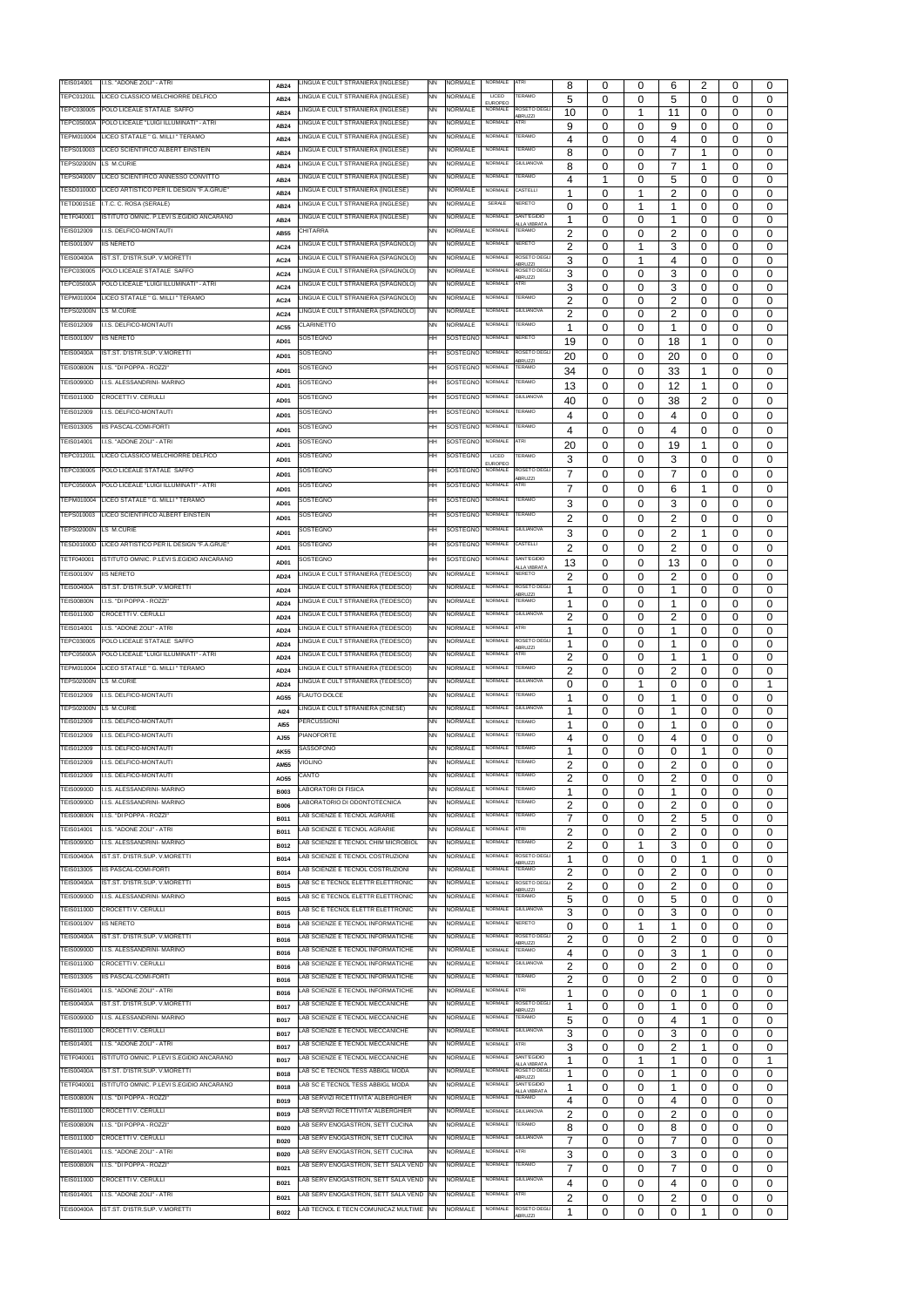| TEIS014001                             | I.I.S. "ADONE ZOLI" - ATRI                                  | AB24             | LINGUA E CULT STRANIERA (INGLESE)                                                  | <b>NN</b> | <b>NORMALE</b>               | NORMALE                   | <b>ATRI</b>                         | 8                    | 0 | 0 | 6                         | 2              | 0        | 0           |
|----------------------------------------|-------------------------------------------------------------|------------------|------------------------------------------------------------------------------------|-----------|------------------------------|---------------------------|-------------------------------------|----------------------|---|---|---------------------------|----------------|----------|-------------|
| <b>TEPC01201L</b>                      | LICEO CLASSICO MELCHIORRE DELFICO                           | AB24             | LINGUA E CULT STRANIERA (INGLESE)                                                  | <b>NN</b> | NORMALE                      | LICEO<br><b>EUROPEO</b>   | <b><i>FERAMO</i></b>                | 5                    | 0 | 0 | 5                         | 0              | 0        | $\Omega$    |
| TEPC030005                             | POLO LICEALE STATALE SAFFO                                  | AB24             | LINGUA E CULT STRANIERA (INGLESE)                                                  | <b>NN</b> | NORMALE                      | NORMALE                   | ROSETO DEGLI<br><b>IBRUZZI</b>      | 10                   | 0 | 1 | 11                        | 0              | 0        | 0           |
| <b>TEPC05000A</b>                      | POLO LICEALE "LUIGI ILLUMINATI" - ATRI                      | AB24             | LINGUA E CULT STRANIERA (INGLESE)                                                  | <b>NN</b> | NORMALE                      | NORMALE                   | ATRI                                | 9                    | 0 | 0 | 9                         | 0              | 0        | 0           |
| TEPM010004                             | LICEO STATALE " G. MILLI " TERAMO                           |                  | LINGUA E CULT STRANIERA (INGLESE)                                                  | <b>NN</b> | NORMALE                      | NORMALE                   | <b>TERAMO</b>                       | 4                    | 0 | 0 | 4                         | 0              | 0        | 0           |
| TEPS010003                             | LICEO SCIENTIFICO ALBERT EINSTEIN                           | AB24             | LINGUA E CULT STRANIERA (INGLESE)                                                  | <b>NN</b> | NORMALE                      | <b>NORMALE</b>            | <b>TERAMO</b>                       |                      |   |   |                           |                |          |             |
|                                        |                                                             | AB24             |                                                                                    |           |                              | <b>NORMALE</b>            | GIULIANOVA                          | 8                    | 0 | 0 | 7                         | 1              | 0        | $\Omega$    |
| <b>TEPS02000N</b>                      | LS M.CURIE                                                  | AB24             | LINGUA E CULT STRANIERA (INGLESE)                                                  | <b>NN</b> | NORMALE                      |                           |                                     | 8                    | 0 | 0 | 7                         | 1              | 0        | 0           |
| <b>TEPS04000V</b>                      | LICEO SCIENTIFICO ANNESSO CONVITTO                          | AB24             | LINGUA E CULT STRANIERA (INGLESE)                                                  | <b>NN</b> | NORMALE                      | <b>NORMALE</b>            | <b>TERAMO</b>                       | $\overline{4}$       | 1 | 0 | 5                         | 0              | 0        | $\Omega$    |
| <b>TESD01000D</b>                      | LICEO ARTISTICO PER IL DESIGN "F.A.GRUE"                    | AB24             | LINGUA E CULT STRANIERA (INGLESE)                                                  | <b>NN</b> | <b>NORMALE</b>               | <b>NORMALE</b>            | CASTELLI                            | 1                    | 0 | 1 | 2                         | 0              | 0        | 0           |
| <b>TETD00151E</b>                      | I.T.C. C. ROSA (SERALE)                                     | AB24             | LINGUA E CULT STRANIERA (INGLESE)                                                  | <b>NN</b> | NORMALE                      | SERALE                    | NERETO                              | 0                    | 0 | 1 | 1                         | 0              | 0        | $\Omega$    |
| TETF040001                             | ISTITUTO OMNIC. P.LEVI S.EGIDIO ANCARANO                    | AB24             | LINGUA E CULT STRANIERA (INGLESE)                                                  | <b>NN</b> | <b>NORMALE</b>               | <b>NORMALE</b>            | SANT'EGIDIO                         | -1                   | 0 | 0 | -1                        | 0              | 0        | 0           |
| <b>TEIS012009</b>                      | I.I.S. DELFICO-MONTAUTI                                     |                  | CHITARRA                                                                           | <b>NN</b> | NORMALE                      | NORMALE                   | <b>ILLA VIBRATA</b><br>TERAMO       |                      |   |   |                           |                |          |             |
| <b>TEIS00100V</b>                      | <b>IIS NERETO</b>                                           | AB55             | LINGUA E CULT STRANIERA (SPAGNOLO)                                                 | <b>NN</b> | NORMALE                      | NORMALE                   | <b>NERETO</b>                       | 2                    | 0 | 0 | 2                         | 0              | $\Omega$ | 0           |
|                                        |                                                             | AC24             |                                                                                    |           |                              |                           |                                     | 2                    | 0 | 1 | 3                         | 0              | $\Omega$ | 0           |
| <b>TEIS00400A</b>                      | IST.ST. D'ISTR.SUP. V.MORETTI                               | <b>AC24</b>      | LINGUA E CULT STRANIERA (SPAGNOLO)                                                 | <b>NN</b> | NORMALE                      | NORMALE                   | ROSETO DEGLI<br><b>BRUZZI</b>       | 3                    | 0 | 1 | 4                         | $\Omega$       | $\Omega$ | 0           |
| TEPC030005                             | POLO LICEALE STATALE SAFFO                                  | <b>AC24</b>      | LINGUA E CULT STRANIERA (SPAGNOLO)                                                 | <b>NN</b> | NORMALE                      | <b>NORMALE</b>            | ROSETO DEGL<br><b>ABRUZZI</b>       | 3                    | 0 | 0 | 3                         | $\Omega$       | 0        | 0           |
| <b>TEPC05000A</b>                      | POLO LICEALE "LUIGI ILLUMINATI" - ATRI                      | AC24             | LINGUA E CULT STRANIERA (SPAGNOLO)                                                 | <b>NN</b> | NORMALE                      | <b>NORMALE</b>            | ATRI                                | 3                    | 0 | 0 | 3                         | 0              | $\Omega$ | 0           |
| TEPM010004                             | LICEO STATALE " G. MILLI " TERAMO                           | AC24             | LINGUA E CULT STRANIERA (SPAGNOLO)                                                 | <b>NN</b> | <b>NORMALE</b>               | NORMALE                   | <b>TERAMO</b>                       | $\overline{2}$       | 0 | 0 | $\overline{2}$            | 0              | $\Omega$ | 0           |
| <b>TEPS02000N</b>                      | LS M.CURIE                                                  | <b>AC24</b>      | LINGUA E CULT STRANIERA (SPAGNOLO)                                                 | <b>NN</b> | NORMALE                      | NORMALE                   | <b>GIULIANOVA</b>                   | $\overline{2}$       | 0 | 0 | 2                         | $\Omega$       | $\Omega$ | 0           |
| <b>TEIS012009</b>                      | I.I.S. DELFICO-MONTAUTI                                     | AC55             | <b>CLARINETTO</b>                                                                  | <b>NN</b> | <b>NORMALE</b>               | NORMALE                   | TERAMO                              | 1                    | 0 | 0 | -1                        | 0              | 0        | 0           |
| <b>TEIS00100V</b>                      | <b>IIS NERETO</b>                                           |                  | SOSTEGNO                                                                           | HH        | SOSTEGNO                     | NORMALE                   | NERETO                              |                      |   |   |                           |                |          |             |
|                                        |                                                             | AD <sub>01</sub> | <b>SOSTEGNO</b>                                                                    |           |                              | NORMALE                   | ROSETO DEGLI                        | 19                   | 0 | 0 | 18                        | 1              | 0        | 0           |
| <b>TEIS00400A</b>                      | IST.ST. D'ISTR.SUP. V.MORETTI                               | AD <sub>01</sub> |                                                                                    | HH        | SOSTEGNO                     |                           | <b>BRUZZI</b>                       | 20                   | 0 | 0 | 20                        | 0              | 0        | 0           |
| <b>TEIS00800N</b>                      | I.I.S. "DI POPPA - ROZZI"                                   | AD01             | SOSTEGNO                                                                           | HH        | SOSTEGNO                     | <b>NORMALE</b>            | <b>TERAMO</b>                       | 34                   | 0 | 0 | 33                        | 1              | 0        | 0           |
| <b>TEIS00900D</b>                      | I.I.S. ALESSANDRINI- MARINO                                 | AD01             | <b>SOSTEGNO</b>                                                                    | HH        | SOSTEGNO                     | NORMALE                   | TERAMO                              | 13                   | 0 | 0 | 12                        | 1              | 0        | $\Omega$    |
| <b>TEIS01100D</b>                      | CROCETTI V. CERULLI                                         |                  | SOSTEGNO                                                                           | HH        | SOSTEGNO                     | NORMALE                   | <b>GIULIANOVA</b>                   |                      |   |   |                           |                |          |             |
| TEIS012009                             | I.I.S. DELFICO-MONTAUTI                                     | AD01             | SOSTEGNO                                                                           | HН        | <b>SOSTEGNO</b>              | NORMALE                   | TERAMO                              | 40                   | 0 | 0 | 38                        | $\overline{2}$ | 0        | 0           |
|                                        |                                                             | AD01             |                                                                                    |           |                              |                           |                                     | 4                    | 0 | 0 | 4                         | 0              | 0        | 0           |
| TEIS013005                             | IIS PASCAL-COMI-FORTI                                       | AD01             | SOSTEGNO                                                                           | HH        | <b>SOSTEGNO</b>              | <b>NORMALE</b>            | TERAMO                              | 4                    | 0 | 0 | 4                         | 0              | 0        | 0           |
| TEIS014001                             | I.I.S. "ADONE ZOLI" - ATRI                                  | AD01             | SOSTEGNO                                                                           | HH        | SOSTEGNO                     | NORMALE                   | <b>ATRI</b>                         | 20                   | 0 | 0 | 19                        | 1              | 0        | 0           |
| TEPC01201L                             | LICEO CLASSICO MELCHIORRE DELFICO                           | AD01             | <b>SOSTEGNO</b>                                                                    | HH        | SOSTEGNO                     | LICEO                     | <b>TERAMO</b>                       | 3                    | 0 | 0 | 3                         | 0              | 0        | 0           |
| TEPC030005                             | POLO LICEALE STATALE SAFFO                                  |                  | SOSTEGNO                                                                           | HH        | SOSTEGNO                     | <b>EUROPEC</b><br>NORMALE | ROSETO DEGLI                        |                      |   |   |                           |                |          |             |
|                                        |                                                             | AD01             |                                                                                    |           |                              |                           | BRUZZI                              | 7                    | 0 | 0 | 7                         | 0              | 0        | 0           |
| <b>TEPC05000A</b>                      | POLO LICEALE "LUIGI ILLUMINATI" - ATRI                      | AD01             | SOSTEGNO                                                                           | HH        | SOSTEGNO                     | NORMALE                   | ATRI                                | 7                    | 0 | 0 | 6                         | 1              | 0        | 0           |
| <b>TEPM010004</b>                      | LICEO STATALE " G. MILLI " TERAMO                           | AD01             | SOSTEGNO                                                                           | HH        | SOSTEGNO                     | NORMALE                   | TERAMO                              | 3                    | 0 | 0 | 3                         | 0              | 0        | 0           |
| TEPS010003                             | LICEO SCIENTIFICO ALBERT EINSTEIN                           | AD01             | <b>SOSTEGNO</b>                                                                    | HH        | SOSTEGNO                     | NORMALE                   | <b>TERAMO</b>                       | 2                    | 0 | 0 | 2                         | 0              | 0        | 0           |
| TEPS02000N LS M.CURIE                  |                                                             |                  | SOSTEGNO                                                                           | HH        | <b>SOSTEGNO</b>              | NORMALE                   | <b>GIULIANOVA</b>                   |                      |   |   |                           |                |          |             |
|                                        |                                                             | AD01             |                                                                                    |           |                              |                           |                                     | 3                    | 0 | 0 | 2                         | 1              | 0        | 0           |
| <b>TESD01000D</b>                      | LICEO ARTISTICO PER IL DESIGN "F.A.GRUE"                    | AD01             | SOSTEGNO                                                                           | HΗ        | SOSTEGNO                     | NORMALE                   | CASTELLI                            | 2                    | 0 | 0 | 2                         | 0              | 0        | 0           |
| TETF040001                             | ISTITUTO OMNIC. P.LEVI S.EGIDIO ANCARANO                    | AD01             | SOSTEGNO                                                                           | HH        | SOSTEGNO NORMALE SANT'EGIDIO |                           | <b>ALLA VIBRATA</b>                 | 13                   | 0 | 0 | 13                        | 0              | 0        | 0           |
| <b>TEIS00100V</b>                      | <b>IIS NERETO</b>                                           | AD24             | LINGUA E CULT STRANIERA (TEDESCO)                                                  | <b>NN</b> | <b>NORMALE</b>               | <b>NORMALE</b>            | NERETO                              | 2                    | 0 | 0 | 2                         | $\Omega$       | $\Omega$ | $\Omega$    |
| <b>TEIS00400A</b>                      | IST.ST. D'ISTR.SUP. V.MORETTI                               | AD24             | LINGUA E CULT STRANIERA (TEDESCO)                                                  | <b>NN</b> | NORMALE                      | NORMALE                   | ROSETO DEGLI                        | -1                   | 0 | 0 | -1                        | 0              | $\Omega$ | 0           |
| <b>TEIS00800N</b>                      | I.I.S. "DI POPPA - ROZZI"                                   |                  | LINGUA E CULT STRANIERA (TEDESCO)                                                  | <b>NN</b> | <b>NORMALE</b>               | NORMALE                   | <b>BRUZZI</b><br><b>TERAMO</b>      | -1                   | 0 | 0 | -1                        | $\Omega$       | $\Omega$ |             |
| <b>TEIS01100D</b>                      | CROCETTI V. CERULLI                                         | AD24             | LINGUA E CULT STRANIERA (TEDESCO)                                                  | <b>NN</b> | NORMALE                      | NORMALE                   | <b>GIULIANOVA</b>                   |                      |   |   |                           |                |          | 0           |
|                                        |                                                             | AD24             |                                                                                    |           |                              |                           | ATRI                                | $\overline{2}$       | 0 | 0 | 2                         | 0              | 0        | 0           |
| TEIS014001                             | I.I.S. "ADONE ZOLI" - ATRI                                  | AD24             | INGUA E CULT STRANIERA (TEDESCO)                                                   | <b>NN</b> | NORMALE                      | NORMALE                   |                                     | -1                   | 0 | 0 | -1                        | 0              | 0        | 0           |
| TEPC030005                             | POLO LICEALE STATALE SAFFO                                  | AD24             | INGUA E CULT STRANIERA (TEDESCO)                                                   | <b>NN</b> | NORMALE                      | <b>NORMALE</b>            | ROSETO DEGL                         | -1                   | 0 | 0 |                           | 0              | 0        | 0           |
|                                        |                                                             |                  |                                                                                    |           |                              |                           | <b>ABRUZZI</b>                      |                      |   |   |                           |                |          |             |
| <b>TEPC05000A</b>                      | POLO LICEALE "LUIGI ILLUMINATI" - ATRI                      | AD24             | LINGUA E CULT STRANIERA (TEDESCO)                                                  | <b>NN</b> | NORMALE                      | <b>NORMALE</b>            | ATRI                                | $\overline{2}$       | 0 | 0 |                           | 1              | 0        | $\Omega$    |
| <b>TEPM010004</b>                      | LICEO STATALE " G. MILLI " TERAMO                           | AD24             | LINGUA E CULT STRANIERA (TEDESCO)                                                  | <b>NN</b> | <b>NORMALE</b>               | NORMALE                   | TERAMO                              |                      | 0 | 0 |                           | 0              | 0        | 0           |
| <b>TEPS02000N</b>                      | LS M.CURIE                                                  |                  | LINGUA E CULT STRANIERA (TEDESCO)                                                  | <b>NN</b> | <b>NORMALE</b>               | NORMALE                   | <b>GIULIANOVA</b>                   | $\overline{2}$       |   |   | 2                         |                |          |             |
| TEIS012009                             | I.I.S. DELFICO-MONTAUTI                                     | AD24             | <b>FLAUTO DOLCE</b>                                                                | <b>NN</b> | NORMALE                      | NORMALE                   | TERAMO                              | 0                    | 0 | 1 | 0                         | 0              | 0        | $\mathbf 1$ |
|                                        |                                                             | AG55             |                                                                                    |           |                              | NORMALE                   | <b>GIULIANOVA</b>                   | 1                    | 0 | 0 |                           | 0              | 0        | 0           |
| <b>TEPS02000N</b>                      | LS M.CURIE                                                  | AI24             | LINGUA E CULT STRANIERA (CINESE)                                                   | <b>NN</b> | NORMALE                      |                           |                                     | 1                    | 0 | 0 | 1                         | 0              | 0        | 0           |
| TEIS012009                             | I.I.S. DELFICO-MONTAUTI                                     | AI55             | PERCUSSIONI                                                                        | <b>NN</b> | NORMALE                      | <b>NORMALE</b>            | <b>TERAMO</b>                       | -1                   | 0 | 0 | 1                         | 0              | 0        | 0           |
| <b>TEIS012009</b>                      | I.I.S. DELFICO-MONTAUTI                                     | AJ55             | PIANOFORTE                                                                         | <b>NN</b> | <b>NORMALE</b>               | <b>NORMALE</b>            | <b>TERAMO</b>                       | 4                    | 0 | 0 | 4                         | $\Omega$       | 0        | $\Omega$    |
| TEIS012009                             | I.I.S. DELFICO-MONTAUTI                                     | <b>AK55</b>      | SASSOFONO                                                                          | <b>NN</b> | NORMALE                      | <b>NORMALE</b>            | <b>TERAMO</b>                       | -1                   | 0 | 0 | 0                         | 1              | $\Omega$ | 0           |
| TEIS012009                             | I.I.S. DELFICO-MONTAUTI                                     | AM55             | VIOLINO                                                                            | <b>NN</b> | NORMALE                      | NORMALE                   | <b>TERAMO</b>                       | $\overline{2}$       | 0 | 0 | 2                         | 0              | 0        | 0           |
| TEIS012009                             | I.I.S. DELFICO-MONTAUTI                                     | AO55             | CANTO                                                                              | <b>NN</b> | NORMALE                      | <b>NORMALE</b>            | <b>TERAMO</b>                       | 2                    | 0 | 0 | 2                         | 0              | 0        | $\Omega$    |
| <b>TEIS00900D</b>                      | I.I.S. ALESSANDRINI- MARINO                                 | <b>B003</b>      | LABORATORI DI FISICA                                                               | <b>NN</b> | NORMALE                      | <b>NORMALE</b>            | <b>TERAMO</b>                       | -1                   |   |   | -1                        |                |          |             |
| <b>TEIS00900D</b>                      | I.I.S. ALESSANDRINI- MARINO                                 |                  | LABORATORIO DI ODONTOTECNICA                                                       | <b>NN</b> | NORMALE                      | <b>NORMALE</b>            | <b><i>FERAMO</i></b>                |                      | 0 | 0 |                           | 0              | 0        | $\Omega$    |
| <b>TEIS00800N</b>                      | I.I.S. "DI POPPA - ROZZI"                                   | <b>B006</b>      | LAB SCIENZE E TECNOL AGRARIE                                                       | <b>NN</b> | <b>NORMALE</b>               | <b>NORMALE</b>            | <b>TERAMO</b>                       | 2                    | 0 | 0 | 2                         | 0              | 0        | $\Omega$    |
|                                        |                                                             | B011             |                                                                                    | <b>NN</b> |                              | NORMALE                   | ATRI                                | $\overline{7}$       | 0 | 0 | $\overline{2}$            | 5              | 0        | $\Omega$    |
| <b>TEIS014001</b>                      | I.I.S. "ADONE ZOLI" - ATRI                                  | B011             | LAB SCIENZE E TECNOL AGRARIE                                                       |           | NORMALE                      |                           |                                     | 2                    | 0 | 0 | $\overline{2}$            | 0              | 0        | $\Omega$    |
| <b>TEIS00900D</b>                      | I.I.S. ALESSANDRINI- MARINO                                 | B012             | LAB SCIENZE E TECNOL CHIM MICROBIOL                                                | <b>NN</b> | <b>NORMALE</b>               | <b>NORMALE</b>            | TERAMO                              | $\overline{2}$       | 0 | 1 | 3                         | 0              | $\Omega$ | 0           |
| <b>TEIS00400A</b>                      | IST.ST. D'ISTR.SUP. V.MORETTI                               | B014             | LAB SCIENZE E TECNOL COSTRUZIONI                                                   | <b>NN</b> | NORMALE                      | NORMALE                   | ROSETO DEGLI<br><b>BRUZZI</b>       | $\blacktriangleleft$ | 0 | 0 | 0                         | 1              | $\Omega$ | 0           |
| TEIS013005                             | IIS PASCAL-COMI-FORTI                                       | B014             | LAB SCIENZE E TECNOL COSTRUZIONI                                                   | <b>NN</b> | <b>NORMALE</b>               | NORMALE                   | TERAMO                              | 2                    | 0 | 0 | 2                         | 0              | $\Omega$ | 0           |
| <b>TEIS00400A</b>                      | IST.ST. D'ISTR.SUP. V.MORETTI                               | B015             | LAB SC E TECNOL ELETTR ELETTRONIC                                                  | <b>NN</b> | <b>VORMALE</b>               | <b>NORMALE</b>            | ROSETO DEGLI<br><b>IBRUZZI</b>      | $\overline{2}$       | 0 | 0 | 2                         | $\Omega$       | $\Omega$ | 0           |
| <b>TEIS00900D</b>                      | I.I.S. ALESSANDRINI- MARINO                                 | B015             | LAB SC E TECNOL ELETTR ELETTRONIC                                                  | <b>NN</b> | <b>VORMALE</b>               | <b>NORMALE</b>            | <b><i>FERAMO</i></b>                | 5                    | 0 | 0 | 5                         | $\Omega$       | $\Omega$ | $\Omega$    |
| <b>TEIS01100D</b>                      | CROCETTI V. CERULLI                                         | B015             | LAB SC E TECNOL ELETTR ELETTRONIC                                                  | <b>NN</b> | NORMALE                      | <b>NORMALE</b>            | <b>GIULIANOVA</b>                   | 3                    | 0 | 0 |                           | 0              | $\Omega$ | 0           |
| <b>TEIS00100V</b>                      | <b>IIS NERETO</b>                                           |                  | LAB SCIENZE E TECNOL INFORMATICHE                                                  | <b>NN</b> | NORMALE                      | <b>NORMALE</b>            | NERETO                              |                      |   |   | 3<br>$\blacktriangleleft$ |                |          |             |
| <b>TEIS00400A</b>                      | IST.ST. D'ISTR.SUP. V.MORETTI                               | B016             | LAB SCIENZE E TECNOL INFORMATICHE                                                  | <b>NN</b> | NORMALE                      | NORMALE                   | ROSETO DEGL                         | $\Omega$             | 0 | 1 |                           | $\Omega$       | $\Omega$ | 0           |
| <b>TEIS00900D</b>                      | I.I.S. ALESSANDRINI- MARINO                                 | B016             | LAB SCIENZE E TECNOL INFORMATICHE                                                  | <b>NN</b> | NORMALE                      | NORMALE                   | BRUZZI<br><b>TERAMO</b>             | $\overline{2}$       | 0 | 0 | 2                         | 0              | $\Omega$ | 0           |
|                                        |                                                             | B016             |                                                                                    |           |                              | <b>NORMALE</b>            | <b>GIULIANOVA</b>                   | 4                    | 0 | 0 | 3                         | 1              | $\Omega$ | 0           |
| <b>TEIS01100D</b>                      | CROCETTI V. CERULLI                                         | B016             | LAB SCIENZE E TECNOL INFORMATICHE                                                  | <b>NN</b> | NORMALE                      |                           |                                     | 2                    | 0 | 0 | 2                         | 0              | 0        | 0           |
| TEIS013005                             | IIS PASCAL-COMI-FORTI                                       | B016             | LAB SCIENZE E TECNOL INFORMATICHE                                                  | <b>NN</b> | NORMALE                      | <b>NORMALE</b>            | <b>TERAMO</b>                       | $\overline{2}$       | 0 | 0 | $\overline{2}$            | 0              | 0        | 0           |
| TEIS014001                             | I.I.S. "ADONE ZOLI" - ATRI                                  | B016             | LAB SCIENZE E TECNOL INFORMATICHE                                                  | <b>NN</b> | NORMALE                      | <b>NORMALE</b>            | <b>ATRI</b>                         |                      | 0 | 0 | 0                         | 1              | 0        | $\Omega$    |
| <b>TEIS00400A</b>                      | IST.ST. D'ISTR.SUP. V.MORETTI                               | <b>B017</b>      | LAB SCIENZE E TECNOL MECCANICHE                                                    | <b>NN</b> | <b>NORMALE</b>               | NORMALE                   | ROSETO DEGLI<br>BRUZZI              | -1                   | 0 | 0 | 1                         | 0              | 0        | 0           |
| <b>TEIS00900D</b>                      | I.I.S. ALESSANDRINI- MARINO                                 | B017             | LAB SCIENZE E TECNOL MECCANICHE                                                    | <b>NN</b> | NORMALE                      | <b>NORMALE</b>            | TERAMO                              | 5                    | 0 | 0 | 4                         | 1              | 0        | 0           |
| <b>TEIS01100D</b>                      | CROCETTI V. CERULLI                                         | <b>B017</b>      | LAB SCIENZE E TECNOL MECCANICHE                                                    | <b>NN</b> | <b>NORMALE</b>               | NORMALE                   | <b>GIULIANOVA</b>                   | 3                    | 0 | 0 | 3                         | 0              | 0        | 0           |
| <b>TEIS014001</b>                      | I.I.S. "ADONE ZOLI" - ATRI                                  | <b>B017</b>      | LAB SCIENZE E TECNOL MECCANICHE                                                    | NN        | <b>NORMALE</b>               | NORMALE                   | <b>ATRI</b>                         |                      |   |   |                           | 1              |          |             |
| TETF040001                             | ISTITUTO OMNIC. P.LEVI S.EGIDIO ANCARANO                    |                  | LAB SCIENZE E TECNOL MECCANICHE                                                    | NN        | NORMALE                      | NORMALE                   | SAN I 'EGIDIO                       | 3                    | 0 | 0 | $\overline{2}$            |                | $\Omega$ | $\Omega$    |
| <b>TEIS00400A</b>                      | IST.ST. D'ISTR.SUP. V.MORETTI                               | <b>B017</b>      | LAB SC E TECNOL TESS ABBIGL MODA                                                   | <b>NN</b> | NORMALE                      | <b>NORMALE</b>            | <b>ALLA VIBRATA</b><br>ROSETO DEGLI |                      | 0 | 1 |                           | 0              | 0        | 1           |
|                                        |                                                             | B018             |                                                                                    |           |                              |                           | BRUZZI                              | -1                   | 0 | 0 |                           | 0              | 0        | 0           |
| TETF040001                             | ISTITUTO OMNIC. P.LEVI S.EGIDIO ANCARANO                    | B018             | LAB SC E TECNOL TESS ABBIGL MODA                                                   | <b>NN</b> | <b>NORMALE</b>               | NORMALE                   | SANT'EGIDIO<br><b>ILLA VIBRATA</b>  | -1                   | 0 | 0 | 1                         | 0              | 0        | 0           |
| <b>TEIS00800N</b>                      | I.I.S. "DI POPPA - ROZZI"                                   | B019             | LAB SERVIZI RICETTIVITA' ALBERGHIER                                                | <b>NN</b> | <b>NORMALE</b>               | NORMALE                   | TERAMO                              | 4                    | 0 | 0 | 4                         | 0              | 0        | 0           |
| <b>TEIS01100D</b>                      | CROCETTI V. CERULLI                                         | B019             | LAB SERVIZI RICETTIVITA' ALBERGHIER                                                | <b>NN</b> | <b>NORMALE</b>               | NORMALE                   | <b>GIULIANOVA</b>                   | 2                    | 0 | 0 | 2                         | 0              | 0        | 0           |
| <b>TEIS00800N</b>                      | I.I.S. "DI POPPA - ROZZI"                                   | <b>B020</b>      | LAB SERV ENOGASTRON, SETT CUCINA                                                   | <b>NN</b> | NORMALE                      | NORMALE                   | TERAMO                              | 8                    | 0 | 0 | 8                         | 0              | 0        | 0           |
| <b>TEIS01100D</b>                      | CROCETTI V. CERULLI                                         | <b>B020</b>      | LAB SERV ENOGASTRON, SETT CUCINA                                                   | <b>NN</b> | <b>NORMALE</b>               | NORMALE                   | <b>GIULIANOVA</b>                   | 7                    | 0 | 0 | 7                         | 0              | 0        | 0           |
| TEIS014001                             | I.I.S. "ADONE ZOLI" - ATRI                                  | <b>B020</b>      | LAB SERV ENOGASTRON, SETT CUCINA                                                   | <b>NN</b> | <b>NORMALE</b>               | <b>NORMALE</b>            | ATRI                                |                      | 0 | 0 |                           | 0              | 0        | 0           |
| <b>TEIS00800N</b>                      | I.I.S. "DI POPPA - ROZZI"                                   |                  | LAB SERV ENOGASTRON, SETT SALA VEND INN                                            |           | <b>NORMALE</b>               | NORMALE                   | TERAMO                              | 3                    |   |   | 3                         |                |          |             |
|                                        | CROCETTI V. CERULLI                                         | B021             | LAB SERV ENOGASTRON, SETT SALA VEND INN                                            |           | NORMALE                      | <b>NORMALE</b>            | <b>GIULIANOVA</b>                   | $\overline{7}$       | 0 | 0 | 7                         | 0              | 0        | 0           |
| <b>TEIS01100D</b>                      |                                                             | B021             |                                                                                    |           |                              |                           |                                     | 4                    | 0 | 0 | 4                         | 0              | 0        | 0           |
| <b>TEIS014001</b><br><b>TEIS00400A</b> | I.I.S. "ADONE ZOLI" - ATRI<br>IST.ST. D'ISTR.SUP. V.MORETTI | B021             | LAB SERV ENOGASTRON, SETT SALA VEND INN<br>LAB TECNOL E TECN COMUNICAZ MULTIME INN |           | <b>NORMALE</b><br>NORMALE    | NORMALE ATRI<br>NORMALE   | ROSETO DEGLI                        | 2                    | 0 | 0 | 2                         | 0              | 0        | 0           |